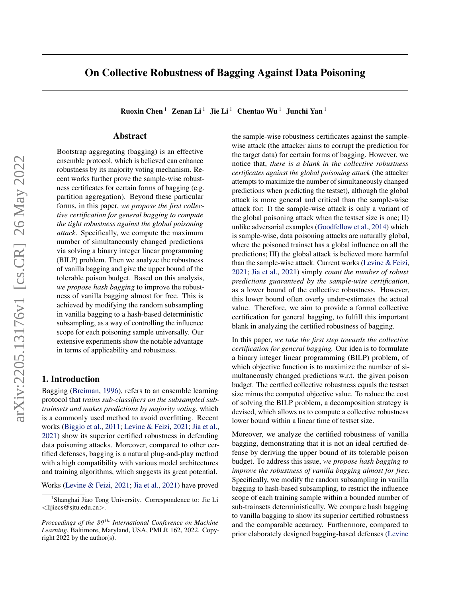# On Collective Robustness of Bagging Against Data Poisoning

Ruoxin Chen<sup>1</sup> Zenan Li<sup>1</sup> Jie Li<sup>1</sup> Chentao Wu<sup>1</sup> Junchi Yan<sup>1</sup>

# Abstract

Bootstrap aggregating (bagging) is an effective ensemble protocol, which is believed can enhance robustness by its majority voting mechanism. Recent works further prove the sample-wise robustness certificates for certain forms of bagging (e.g. partition aggregation). Beyond these particular forms, in this paper, *we propose the first collective certification for general bagging to compute the tight robustness against the global poisoning attack*. Specifically, we compute the maximum number of simultaneously changed predictions via solving a binary integer linear programming (BILP) problem. Then we analyze the robustness of vanilla bagging and give the upper bound of the tolerable poison budget. Based on this analysis, *we propose hash bagging* to improve the robustness of vanilla bagging almost for free. This is achieved by modifying the random subsampling in vanilla bagging to a hash-based deterministic subsampling, as a way of controlling the influence scope for each poisoning sample universally. Our extensive experiments show the notable advantage in terms of applicability and robustness.

# 1. Introduction

Bagging [\(Breiman,](#page-8-0) [1996\)](#page-8-0), refers to an ensemble learning protocol that *trains sub-classifiers on the subsampled subtrainsets and makes predictions by majority voting*, which is a commonly used method to avoid overfitting. Recent works [\(Biggio et al.,](#page-8-1) [2011;](#page-8-1) [Levine & Feizi,](#page-8-2) [2021;](#page-8-2) [Jia et al.,](#page-8-3) [2021\)](#page-8-3) show its superior certified robustness in defending data poisoning attacks. Moreover, compared to other certified defenses, bagging is a natural plug-and-play method with a high compatibility with various model architectures and training algorithms, which suggests its great potential.

Works [\(Levine & Feizi,](#page-8-2) [2021;](#page-8-2) [Jia et al.,](#page-8-3) [2021\)](#page-8-3) have proved

the sample-wise robustness certificates against the samplewise attack (the attacker aims to corrupt the prediction for the target data) for certain forms of bagging. However, we notice that, *there is a blank in the collective robustness certificates against the global poisoning attack* (the attacker attempts to maximize the number of simultaneously changed predictions when predicting the testset), although the global attack is more general and critical than the sample-wise attack for: I) the sample-wise attack is only a variant of the global poisoning attack when the testset size is one; II) unlike adversarial examples [\(Goodfellow et al.,](#page-8-4) [2014\)](#page-8-4) which is sample-wise, data poisoning attacks are naturally global, where the poisoned trainset has a global influence on all the predictions; III) the global attack is believed more harmful than the sample-wise attack. Current works [\(Levine & Feizi,](#page-8-2) [2021;](#page-8-2) [Jia et al.,](#page-8-3) [2021\)](#page-8-3) simply *count the number of robust predictions guaranteed by the sample-wise certification*, as a lower bound of the collective robustness. However, this lower bound often overly under-estimates the actual value. Therefore, we aim to provide a formal collective certification for general bagging, to fulfill this important blank in analyzing the certified robustness of bagging.

In this paper, *we take the first step towards the collective certification for general bagging.* Our idea is to formulate a binary integer linear programming (BILP) problem, of which objective function is to maximize the number of simultaneously changed predictions w.r.t. the given poison budget. The certfied collective robustness equals the testset size minus the computed objective value. To reduce the cost of solving the BILP problem, a decomposition strategy is devised, which allows us to compute a collective robustness lower bound within a linear time of testset size.

Moreover, we analyze the certified robustness of vanilla bagging, demonstrating that it is not an ideal certified defense by deriving the upper bound of its tolerable poison budget. To address this issue, *we propose hash bagging to improve the robustness of vanilla bagging almost for free.* Specifically, we modify the random subsampling in vanilla bagging to hash-based subsampling, to restrict the influence scope of each training sample within a bounded number of sub-trainsets deterministically. We compare hash bagging to vanilla bagging to show its superior certified robustness and the comparable accuracy. Furthermore, compared to prior elaborately designed bagging-based defenses [\(Levine](#page-8-2)

<sup>&</sup>lt;sup>1</sup>Shanghai Jiao Tong University. Correspondence to: Jie Li <lijiecs@sjtu.edu.cn>.

*Proceedings of the 39<sup>th</sup> International Conference on Machine Learning*, Baltimore, Maryland, USA, PMLR 162, 2022. Copyright 2022 by the author(s).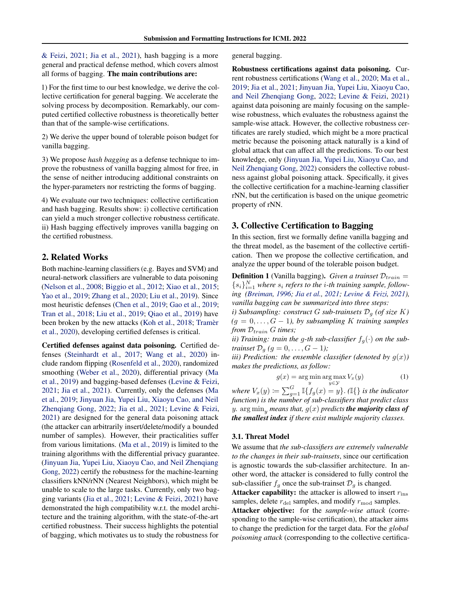[& Feizi,](#page-8-2) [2021;](#page-8-2) [Jia et al.,](#page-8-3) [2021\)](#page-8-3), hash bagging is a more general and practical defense method, which covers almost all forms of bagging. The main contributions are:

1) For the first time to our best knowledge, we derive the collective certification for general bagging. We accelerate the solving process by decomposition. Remarkably, our computed certified collective robustness is theoretically better than that of the sample-wise certifications.

2) We derive the upper bound of tolerable poison budget for vanilla bagging.

3) We propose *hash bagging* as a defense technique to improve the robustness of vanilla bagging almost for free, in the sense of neither introducing additional constraints on the hyper-parameters nor restricting the forms of bagging.

4) We evaluate our two techniques: collective certification and hash bagging. Results show: i) collective certification can yield a much stronger collective robustness certificate. ii) Hash bagging effectively improves vanilla bagging on the certified robustness.

# 2. Related Works

Both machine-learning classifiers (e.g. Bayes and SVM) and neural-network classifiers are vulnerable to data poisoning [\(Nelson et al.,](#page-8-5) [2008;](#page-8-5) [Biggio et al.,](#page-8-6) [2012;](#page-8-6) [Xiao et al.,](#page-9-0) [2015;](#page-9-0) [Yao et al.,](#page-9-1) [2019;](#page-9-1) [Zhang et al.,](#page-9-2) [2020;](#page-9-2) [Liu et al.,](#page-8-7) [2019\)](#page-8-7). Since most heuristic defenses [\(Chen et al.,](#page-8-8) [2019;](#page-8-8) [Gao et al.,](#page-8-9) [2019;](#page-8-9) [Tran et al.,](#page-9-3) [2018;](#page-9-3) [Liu et al.,](#page-8-7) [2019;](#page-8-7) [Qiao et al.,](#page-8-10) [2019\)](#page-8-10) have been broken by the new attacks [\(Koh et al.,](#page-8-11) [2018;](#page-8-11) Tramèr [et al.,](#page-9-4) [2020\)](#page-9-4), developing certified defenses is critical.

Certified defenses against data poisoning. Certified defenses [\(Steinhardt et al.,](#page-9-5) [2017;](#page-9-5) [Wang et al.,](#page-9-6) [2020\)](#page-9-6) include random flipping [\(Rosenfeld et al.,](#page-9-7) [2020\)](#page-9-7), randomized smoothing [\(Weber et al.,](#page-9-8) [2020\)](#page-9-8), differential privacy [\(Ma](#page-8-12) [et al.,](#page-8-12) [2019\)](#page-8-12) and bagging-based defenses [\(Levine & Feizi,](#page-8-2) [2021;](#page-8-2) [Jia et al.,](#page-8-3) [2021\)](#page-8-3). Currently, only the defenses [\(Ma](#page-8-12) [et al.,](#page-8-12) [2019;](#page-8-12) [Jinyuan Jia, Yupei Liu, Xiaoyu Cao, and Neil](#page-8-13) [Zhenqiang Gong,](#page-8-13) [2022;](#page-8-13) [Jia et al.,](#page-8-3) [2021;](#page-8-3) [Levine & Feizi,](#page-8-2) [2021\)](#page-8-2) are designed for the general data poisoning attack (the attacker can arbitrarily insert/delete/modify a bounded number of samples). However, their practicalities suffer from various limitations. [\(Ma et al.,](#page-8-12) [2019\)](#page-8-12) is limited to the training algorithms with the differential privacy guarantee. [\(Jinyuan Jia, Yupei Liu, Xiaoyu Cao, and Neil Zhenqiang](#page-8-13) [Gong,](#page-8-13) [2022\)](#page-8-13) certify the robustness for the machine-learning classifiers kNN/rNN (Nearest Neighbors), which might be unable to scale to the large tasks. Currently, only two bagging variants [\(Jia et al.,](#page-8-3) [2021;](#page-8-3) [Levine & Feizi,](#page-8-2) [2021\)](#page-8-2) have demonstrated the high compatibility w.r.t. the model architecture and the training algorithm, with the state-of-the-art certified robustness. Their success highlights the potential of bagging, which motivates us to study the robustness for

general bagging.

Robustness certifications against data poisoning. Current robustness certifications [\(Wang et al.,](#page-9-6) [2020;](#page-9-6) [Ma et al.,](#page-8-12) [2019;](#page-8-12) [Jia et al.,](#page-8-3) [2021;](#page-8-3) [Jinyuan Jia, Yupei Liu, Xiaoyu Cao,](#page-8-13) [and Neil Zhenqiang Gong,](#page-8-13) [2022;](#page-8-13) [Levine & Feizi,](#page-8-2) [2021\)](#page-8-2) against data poisoning are mainly focusing on the samplewise robustness, which evaluates the robustness against the sample-wise attack. However, the collective robustness certificates are rarely studied, which might be a more practical metric because the poisoning attack naturally is a kind of global attack that can affect all the predictions. To our best knowledge, only [\(Jinyuan Jia, Yupei Liu, Xiaoyu Cao, and](#page-8-13) [Neil Zhenqiang Gong,](#page-8-13) [2022\)](#page-8-13) considers the collective robustness against global poisoning attack. Specifically, it gives the collective certification for a machine-learning classifier rNN, but the certification is based on the unique geometric property of rNN.

# 3. Collective Certification to Bagging

In this section, first we formally define vanilla bagging and the threat model, as the basement of the collective certification. Then we propose the collective certification, and analyze the upper bound of the tolerable poison budget.

**Definition 1** (Vanilla bagging). *Given a trainset*  $\mathcal{D}_{train} =$  ${s_i}_{i=1}^N$  where  $s_i$  refers to the *i*-th training sample, follow*ing [\(Breiman,](#page-8-0) [1996;](#page-8-0) [Jia et al.,](#page-8-3) [2021;](#page-8-3) [Levine & Feizi,](#page-8-2) [2021\)](#page-8-2), vanilla bagging can be summarized into three steps:*

*i*) Subsampling: construct G sub-trainsets  $\mathcal{D}_q$  (of size K)  $(q = 0, \ldots, G - 1)$ , by subsampling K *training samples from*  $D_{train}$  *G times*;

*ii)* Training: train the g-th sub-classifier  $f_g(\cdot)$  on the sub*trainset*  $\mathcal{D}_q$   $(g = 0, \ldots, G - 1)$ ;

*iii*) Prediction: the ensemble classifier (denoted by  $g(x)$ ) *makes the predictions, as follow:*

$$
g(x) = \underset{y}{\arg\min} \underset{y \in \mathcal{Y}}{\arg\max} V_x(y) \tag{1}
$$

where  $V_x(y) \coloneqq \sum_{g=1}^G \mathbb{I}\{f_g(x) = y\}$ .  $(\mathbb{I}\{\}$  *is the indicator function) is the number of sub-classifiers that predict class y*.  $\arg \min_{y}$  *means that,*  $g(x)$  *predicts the majority class of the smallest index if there exist multiple majority classes.*

### 3.1. Threat Model

We assume that *the sub-classifiers are extremely vulnerable to the changes in their sub-trainsets*, since our certification is agnostic towards the sub-classifier architecture. In another word, the attacker is considered to fully control the sub-classifier  $f_q$  once the sub-trainset  $\mathcal{D}_q$  is changed.

**Attacker capability:** the attacker is allowed to insert  $r_{\text{ins}}$ samples, delete  $r_{\text{del}}$  samples, and modify  $r_{\text{mod}}$  samples.

Attacker objective: for the *sample-wise attack* (corresponding to the sample-wise certification), the attacker aims to change the prediction for the target data. For the *global poisoning attack* (corresponding to the collective certifica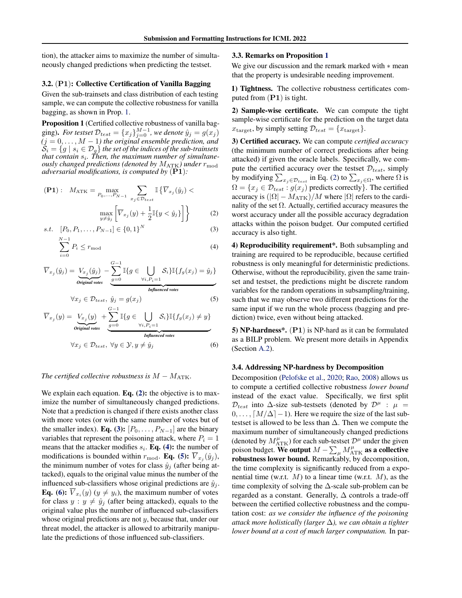tion), the attacker aims to maximize the number of simultaneously changed predictions when predicting the testset.

#### 3.2. (P1): Collective Certification of Vanilla Bagging

Given the sub-trainsets and class distribution of each testing sample, we can compute the collective robustness for vanilla bagging, as shown in Prop. [1.](#page-2-0)

<span id="page-2-0"></span>Proposition 1 (Certified collective robustness of vanilla bagging). *For testset*  $\mathcal{D}_{test} = \{x_j\}_{j=0}^{M-1}$ , we denote  $\hat{y}_j = g(x_j)$  $(j = 0, \ldots, M - 1)$  the original ensemble prediction, and  $\mathcal{S}_i = \{g \mid s_i \in \mathcal{D}_g\}$  the set of the indices of the sub-trainsets *that contain*  $s_i$ . Then, the maximum number of simultane*ously changed predictions (denoted by*  $M_{\text{ATK}}$ ) under  $r_{\text{mod}}$ *adversarial modifications, is computed by* (P1)*:*

$$
\begin{aligned} \textbf{(P1)}: \quad M_{\text{ATK}} &= \max_{P_0, \dots, P_{N-1}} \sum_{x_j \in \mathcal{D}_{test}} \mathbb{I} \left\{ \overline{V}_{x_j}(\hat{y}_j) < \\ &\max_{y \neq \hat{y}_j} \left[ \overline{V}_{x_j}(y) + \frac{1}{2} \mathbb{I} \{ y < \hat{y}_j \} \right] \right\} \end{aligned} \tag{2}
$$

$$
s.t. \quad [P_0, P_1, \dots, P_{N-1}] \in \{0, 1\}^N \tag{3}
$$

$$
\sum_{i=0}^{N-1} P_i \le r_{\text{mod}} \tag{4}
$$

$$
\overline{V}_{x_j}(\hat{y}_j) = \underbrace{V_{x_j}(\hat{y}_j)}_{\text{Original votes}} - \underbrace{\sum_{g=0}^{G-1} \mathbb{I}\{g \in \bigcup_{\forall i, P_i = 1} \mathcal{S}_i\} \mathbb{I}\{f_g(x_j) = \hat{y}_j\}}_{\text{Influenced votes}}
$$

$$
\forall x_j \in \mathcal{D}_{test}, \ \hat{y}_j = g(x_j) \tag{5}
$$

$$
\overline{V}_{x_j}(y) = \underbrace{V_{x_j}(y)}_{\text{Original votes}} + \underbrace{\sum_{g=0}^{G-1} \mathbb{I}\{g \in \bigcup_{\forall i, P_i = 1} \mathcal{S}_i\} \mathbb{I}\{f_g(x_j) \neq y\}}_{\text{Influenced votes}}
$$
\n
$$
\forall x_j \in \mathcal{D}_{test}, \ \forall y \in \mathcal{Y}, y \neq \hat{y}_j \tag{6}
$$

$$
f_{\rm{max}}(x)=\frac{1}{2}x
$$

# *The certified collective robustness is*  $M - M_{\text{ATK}}$ .

We explain each equation. Eq.  $(2)$ : the objective is to maximize the number of simultaneously changed predictions. Note that a prediction is changed if there exists another class with more votes (or with the same number of votes but of the smaller index). Eq. [\(3\)](#page-2-2):  $[P_0, \ldots, P_{N-1}]$  are the binary variables that represent the poisoning attack, where  $P_i = 1$ means that the attacker modifies  $s_i$ . **Eq.** [\(4\)](#page-2-3): the number of modifications is bounded within  $r_{\text{mod}}$ . **Eq.** [\(5\)](#page-2-4):  $V_{x_j}(\hat{y}_j)$ , the minimum number of votes for class  $\hat{y}_i$  (after being attacked), equals to the original value minus the number of the influenced sub-classifiers whose original predictions are  $\hat{y}_i$ . **Eq.** [\(6\)](#page-2-5):  $V_{x_i}(y)$  ( $y \neq y_i$ ), the maximum number of votes for class  $y : y \neq \hat{y}_j$  (after being attacked), equals to the original value plus the number of influenced sub-classifiers whose original predictions are not y, because that, under our threat model, the attacker is allowed to arbitrarily manipulate the predictions of those influenced sub-classifiers.

#### 3.3. Remarks on Proposition [1](#page-2-0)

We give our discussion and the remark marked with ∗ mean that the property is undesirable needing improvement.

1) Tightness. The collective robustness certificates computed from  $(PI)$  is tight.

2) Sample-wise certificate. We can compute the tight sample-wise certificate for the prediction on the target data  $x_{\text{target}}$ , by simply setting  $\mathcal{D}_{test} = \{x_{\text{target}}\}.$ 

3) Certified accuracy. We can compute *certified accuracy* (the minimum number of correct predictions after being attacked) if given the oracle labels. Specifically, we compute the certified accuracy over the testset  $\mathcal{D}_{test}$ , simply by modifying  $\sum_{x_j \in \mathcal{D}_{test}}$  in Eq. [\(2\)](#page-2-1) to  $\sum_{x_j \in \Omega}$ , where  $\Omega$  is  $\Omega = \{x_i \in \mathcal{D}_{test} : g(x_i) \text{ predicts correctly}\}\.$  The certified accuracy is  $(|\Omega| - M_{\rm ATK})/M$  where  $|\Omega|$  refers to the cardinality of the set  $\Omega$ . Actually, certified accuracy measures the worst accuracy under all the possible accuracy degradation attacks within the poison budget. Our computed certified accuracy is also tight.

<span id="page-2-3"></span><span id="page-2-2"></span><span id="page-2-1"></span>4) Reproducibility requirement\*. Both subsampling and training are required to be reproducible, because certified robustness is only meaningful for deterministic predictions. Otherwise, without the reproducibility, given the same trainset and testset, the predictions might be discrete random variables for the random operations in subsampling/training, such that we may observe two different predictions for the same input if we run the whole process (bagging and prediction) twice, even without being attacked.

<span id="page-2-5"></span><span id="page-2-4"></span>5) NP-hardness\*. (P1) is NP-hard as it can be formulated as a BILP problem. We present more details in Appendix (Section [A.2\)](#page-10-0).

### <span id="page-2-6"></span>3.4. Addressing NP-hardness by Decomposition

Decomposition [\(Pelofske et al.,](#page-8-14) [2020;](#page-8-14) [Rao,](#page-9-9) [2008\)](#page-9-9) allows us to compute a certified collective robustness *lower bound* instead of the exact value. Specifically, we first split  $\mathcal{D}_{test}$  into  $\Delta$ -size sub-testsets (denoted by  $\mathcal{D}^{\mu}$  :  $\mu =$  $0, \ldots, \lceil M/\Delta \rceil - 1$ ). Here we require the size of the last subtestset is allowed to be less than  $\Delta$ . Then we compute the maximum number of simultaneously changed predictions (denoted by  $M^{\mu}_{\text{ATK}}$ ) for each sub-testset  $\mathcal{D}^{\mu}$  under the given poison budget. We output  $M - \sum_{\mu} M_{\text{ATK}}^{\mu}$  as a collective robustness lower bound. Remarkably, by decomposition, the time complexity is significantly reduced from a exponential time (w.r.t.  $M$ ) to a linear time (w.r.t.  $M$ ), as the time complexity of solving the ∆-scale sub-problem can be regarded as a constant. Generally,  $\Delta$  controls a trade-off between the certified collective robustness and the computation cost: *as we consider the influence of the poisoning attack more holistically (larger* ∆*), we can obtain a tighter lower bound at a cost of much larger computation.* In par-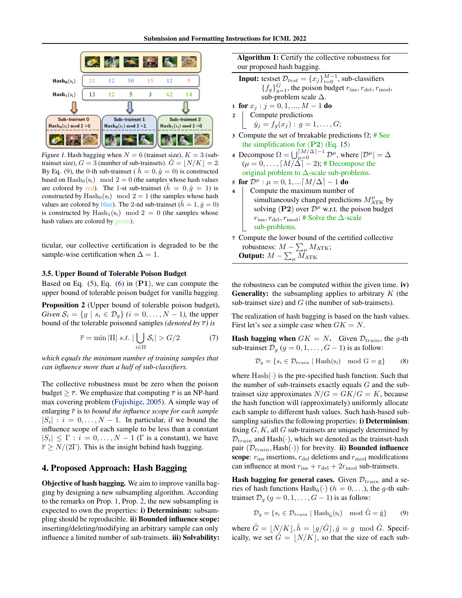<span id="page-3-2"></span>

Figure 1. Hash bagging when  $N = 6$  (trainset size),  $K = 3$  (subtrainset size),  $G = 3$  (number of sub-trainsets).  $\ddot{G} = |N/K| = 2$ . By Eq. [\(9\)](#page-3-0), the 0-th sub-trainset (  $\hat{h} = 0, \hat{g} = 0$ ) is constructed based on  $\text{Hash}_0(s_i) \mod 2 = 0$  (the samples whose hash values are colored by red). The 1-st sub-trainset  $(h = 0, \hat{g} = 1)$  is constructed by  $\text{Hash}_0(s_i) \mod 2 = 1$  (the samples whose hash values are colored by blue). The 2-nd sub-trainset ( $h = 1$ ,  $\hat{g} = 0$ ) is constructed by  $\text{Hash}_1(s_i) \mod 2 = 0$  (the samples whose hash values are colored by green).

ticular, our collective certification is degraded to be the sample-wise certification when  $\Delta = 1$ .

### 3.5. Upper Bound of Tolerable Poison Budget

Based on Eq.  $(5)$ , Eq.  $(6)$  in  $(P1)$ , we can compute the upper bound of tolerable poison budget for vanilla bagging.

<span id="page-3-1"></span>Proposition 2 (Upper bound of tolerable poison budget). *Given*  $S_i = \{g \mid s_i \in \mathcal{D}_g\}$   $(i = 0, \ldots, N-1)$ , the upper bound of the tolerable poisoned samples *(denoted by*  $\bar{r}$ *)* is

$$
\overline{r} = \min |\Pi| \ s.t. \ |\bigcup_{i \in \Pi} \mathcal{S}_i| > G/2 \tag{7}
$$

*which equals the minimum number of training samples that can influence more than a half of sub-classifiers.*

The collective robustness must be zero when the poison budget  $\geq \overline{r}$ . We emphasize that computing  $\overline{r}$  is an NP-hard max covering problem [\(Fujishige,](#page-8-15) [2005\)](#page-8-15). A simple way of enlarging  $\bar{r}$  is to *bound the influence scope for each sample*  $|S_i|$ :  $i = 0, \ldots, N - 1$ . In particular, if we bound the influence scope of each sample to be less than a constant  $|S_i| \leq \Gamma$ :  $i = 0, \ldots, N - 1$  ( $\Gamma$  is a constant), we have  $\bar{r} \geq N/(2\Gamma)$ . This is the insight behind hash bagging.

# 4. Proposed Approach: Hash Bagging

Objective of hash bagging. We aim to improve vanilla bagging by designing a new subsampling algorithm. According to the remarks on Prop. [1,](#page-2-0) Prop. [2,](#page-3-1) the new subsampling is expected to own the properties: i) Determinism: subsampling should be reproducible. ii) Bounded influence scope: inserting/deleting/modifying an arbitrary sample can only influence a limited number of sub-trainsets. **iii**) Solvability: Algorithm 1: Certify the collective robustness for our proposed hash bagging.

- <span id="page-3-3"></span>**Input:** testset  $\mathcal{D}_{test} = \{x_j\}_{i=0}^{M-1}$ , sub-classifiers  ${f_g}_{g=1}^G$ , the poison budget  $r_{\text{ins}}, r_{\text{del}}, r_{\text{mod}}$ , sub-problem scale  $\Delta$ .
- 1 for  $x_j : j = 0, 1, ..., M 1$  do
- 2 Compute predictions  $\hat{y}_j = f_g(x_j) : g = 1, \ldots, G;$
- 3 Compute the set of breakable predictions  $\Omega$ ; # See the simplification for  $(P2)$  (Eq. [15\)](#page-4-0)
- 4 Decompose  $\Omega = \bigcup_{\mu=0}^{[M/\Delta]-1} \mathcal{D}^{\mu}$ , where  $|\mathcal{D}^{\mu}| = \Delta$  $(\mu = 0, \ldots, \lceil M/\Delta \rceil - 2);$  # Decompose the original problem to  $\Delta$ -scale sub-problems.
- 5 for  $\mathcal{D}^{\mu}: \mu = 0, 1, ... [M/\Delta] 1$  do
- 6 Compute the maximum number of simultaneously changed predictions  $M_{\text{ATK}}^{\mu}$  by solving (P2) over  $\mathcal{D}^{\mu}$  w.r.t. the poison budget  $r_{\text{ins}}, r_{\text{del}}, r_{\text{mod}}$ ; # Solve the  $\Delta$ -scale sub-problems.
- <span id="page-3-4"></span><sup>7</sup> Compute the lower bound of the certified collective robustness:  $M-\sum_{\mu}M_{\rm ATK}$ ; Output:  $M-\sum_{\mu} \dot{M}_{\rm ATK}$

the robustness can be computed within the given time. iv) **Generality:** the subsampling applies to arbitrary  $K$  (the sub-trainset size) and  $G$  (the number of sub-trainsets).

The realization of hash bagging is based on the hash values. First let's see a simple case when  $GK = N$ .

**Hash bagging when**  $GK = N$ . Given  $\mathcal{D}_{train}$ , the g-th sub-trainset  $\mathcal{D}_q$  ( $q = 0, 1, \ldots, G - 1$ ) is as follow:

$$
\mathcal{D}_g = \{ s_i \in \mathcal{D}_{train} \mid \text{Hash}(s_i) \mod G = g \} \tag{8}
$$

where  $Hash(\cdot)$  is the pre-specified hash function. Such that the number of sub-trainsets exactly equals  $G$  and the subtrainset size approximates  $N/G = GK/G = K$ , because the hash function will (approximately) uniformly allocate each sample to different hash values. Such hash-based subsampling satisfies the following properties: **i**) Determinism: fixing  $G, K$ , all  $G$  sub-trainsets are uniquely determined by  $\mathcal{D}_{train}$  and Hash( $\cdot$ ), which we denoted as the trainset-hash pair  $(\mathcal{D}_{train}, \text{Hash}(\cdot))$  for brevity. **ii) Bounded influence** scope:  $r_{\text{ins}}$  insertions,  $r_{\text{del}}$  deletions and  $r_{\text{mod}}$  modifications can influence at most  $r_{ins} + r_{del} + 2r_{mod}$  sub-trainsets.

**Hash bagging for general cases.** Given  $\mathcal{D}_{train}$  and a series of hash functions  $\text{Hash}_h(\cdot)$  ( $h = 0, \ldots$ ), the g-th subtrainset  $\mathcal{D}_g$  ( $g = 0, 1, \ldots, G - 1$ ) is as follow:

<span id="page-3-0"></span>
$$
\mathcal{D}_g = \{ s_i \in \mathcal{D}_{train} \mid \text{Hash}_{\hat{h}}(s_i) \mod \hat{G} = \hat{g} \}
$$
(9)

where  $\hat{G} = |N/K|, \hat{h} = |g/\hat{G}|, \hat{g} = g \mod \hat{G}$ . Specifically, we set  $\hat{G} = |N/K|$ , so that the size of each sub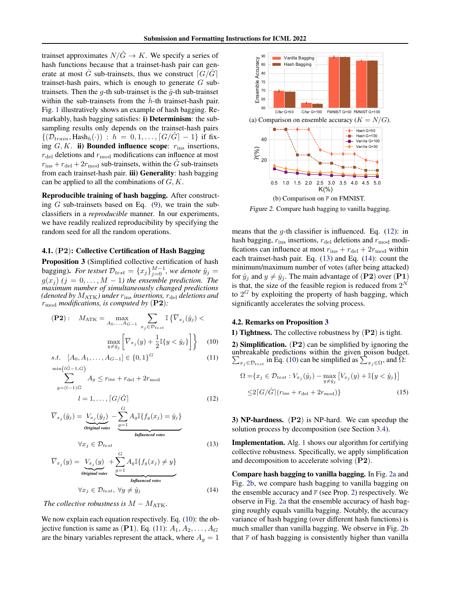trainset approximates  $N/\hat{G} \rightarrow K$ . We specify a series of hash functions because that a trainset-hash pair can generate at most  $\hat{G}$  sub-trainsets, thus we construct  $\left[G/\hat{G}\right]$ trainset-hash pairs, which is enough to generate  $G$  subtrainsets. Then the g-th sub-trainset is the  $\hat{g}$ -th sub-trainset within the sub-trainsets from the  $h$ -th trainset-hash pair. Fig. [1](#page-3-2) illustratively shows an example of hash bagging. Remarkably, hash bagging satisfies: i) Determinism: the subsampling results only depends on the trainset-hash pairs  $\{(\mathcal{D}_{train}, \text{Hash}_h(\cdot)) : h = 0, 1, \ldots, \lceil G/\hat{G} \rceil - 1\}$  if fixing  $G, K$ . ii) Bounded influence scope:  $r_{\text{ins}}$  insertions,  $r_{\text{del}}$  deletions and  $r_{\text{mod}}$  modifications can influence at most  $r_{\text{ins}} + r_{\text{del}} + 2r_{\text{mod}}$  sub-trainsets, within the  $\hat{G}$  sub-trainsets from each trainset-hash pair. **iii**) Generality: hash bagging can be applied to all the combinations of  $G, K$ .

Reproducible training of hash bagging. After constructing  $G$  sub-trainsets based on Eq.  $(9)$ , we train the subclassifiers in a *reproducible* manner. In our experiments, we have readily realized reproducibility by specifying the random seed for all the random operations.

#### 4.1. (P2): Collective Certification of Hash Bagging

<span id="page-4-6"></span>Proposition 3 (Simplified collective certification of hash bagging). *For testset*  $\mathcal{D}_{test} = \{x_j\}_{j=0}^{M-1}$ , we denote  $\hat{y}_j =$  $g(x_j)$   $(j = 0, \ldots, M-1)$  the ensemble prediction. The *maximum number of simultaneously changed predictions (denoted by*  $M_{\text{ATK}}$ *) under*  $r_{\text{ins}}$  *insertions,*  $r_{\text{del}}$  *deletions and* rmod *modifications, is computed by* (P2)*:*

$$
\textbf{(P2)}: \quad M_{\text{ATK}} = \max_{A_0, \dots, A_{G-1}} \sum_{x_j \in \mathcal{D}_{test}} \mathbb{I} \left\{ \overline{V}_{x_j}(\hat{y}_j) < \max_{y \neq \hat{y}_j} \left[ \overline{V}_{x_j}(y) + \frac{1}{2} \mathbb{I} \{ y < \hat{y}_j \} \right] \right\} \tag{10}
$$

s.t. 
$$
[A_0, A_1, \dots, A_{G-1}] \in \{0, 1\}^G
$$
 (11)  

$$
\min(l\hat{G}-1, G)
$$

$$
\sum_{g=(l-1)\hat{G}}^{i\text{in}(l\hat{G}-1,G)} A_g \le r_{\text{ins}} + r_{\text{del}} + 2r_{\text{mod}}
$$
  

$$
l = 1, \dots, \lceil G/\hat{G} \rceil
$$
 (12)

$$
\overline{V}_{x_j}(\hat{y}_j) = \underbrace{V_{x_j}(\hat{y}_j)}_{\text{Original votes}} - \underbrace{\sum_{g=1}^{G} A_g \mathbb{I}\{f_g(x_j) = \hat{y}_j\}}_{\text{Influenced votes}}
$$
\n
$$
\forall x_j \in \mathcal{D}_{test} \tag{13}
$$

$$
\overline{V}_{x_j}(y) = \underbrace{V_{x_j}(y)}_{\text{Original votes}} + \underbrace{\sum_{g=1}^{G} A_g \mathbb{I}\{f_g(x_j) \neq y\}}_{\text{Influeenced votes}}
$$
\n(14)

$$
\forall x_j \in \mathcal{D}_{test}, \ \forall y \neq \hat{y}_j \tag{14}
$$

*The collective robustness is*  $M - M_{\text{ATK}}$ .

We now explain each equation respectively. Eq. [\(10\)](#page-4-1): the ob-jective function is same as (P1). Eq. [\(11\)](#page-4-2):  $A_1, A_2, \ldots, A_G$ are the binary variables represent the attack, where  $A<sub>q</sub> = 1$ 

<span id="page-4-7"></span>

Figure 2. Compare hash bagging to vanilla bagging.

means that the  $g$ -th classifier is influenced. Eq. [\(12\)](#page-4-3): in hash bagging,  $r_{ins}$  insertions,  $r_{del}$  deletions and  $r_{mod}$  modifications can influence at most  $r_{ins} + r_{del} + 2r_{mod}$  within each trainset-hash pair. Eq. [\(13\)](#page-4-4) and Eq. [\(14\)](#page-4-5): count the minimum/maximum number of votes (after being attacked) for  $\hat{y}_i$  and  $y \neq \hat{y}_i$ . The main advantage of (P2) over (P1) is that, the size of the feasible region is reduced from  $2^N$ to  $2^G$  by exploiting the property of hash bagging, which significantly accelerates the solving process.

# 4.2. Remarks on Proposition [3](#page-4-6)

<span id="page-4-1"></span>1) Tightness. The collective robustness by (P2) is tight.

<span id="page-4-2"></span>2) Simplification. (P2) can be simplified by ignoring the unbreakable predictions within the given poison budget.  $\sum_{x_j \in \mathcal{D}_{test}}$  in Eq. [\(10\)](#page-4-1) can be simplified as  $\sum_{x_j \in \Omega}$ , and  $\overline{\Omega}$ :

<span id="page-4-0"></span>
$$
\Omega = \{x_j \in \mathcal{D}_{test} : V_{x_j}(\hat{y}_j) - \max_{y \neq \hat{y}_j} \left[ V_{x_j}(y) + \mathbb{I}\{y < \hat{y}_j\} \right] \leq 2 \left[ G/\hat{G} \right] (r_{\text{ins}} + r_{\text{del}} + 2r_{\text{mod}}) \}
$$
\n
$$
(15)
$$

<span id="page-4-3"></span>3) NP-hardness. (P2) is NP-hard. We can speedup the solution process by decomposition (see Section [3.4\)](#page-2-6).

<span id="page-4-4"></span>Implementation. Alg. [1](#page-3-3) shows our algorithm for certifying collective robustness. Specifically, we apply simplification and decomposition to accelerate solving (P2).

<span id="page-4-5"></span>Compare hash bagging to vanilla bagging. In Fig. [2a](#page-4-7) and Fig. [2b,](#page-4-7) we compare hash bagging to vanilla bagging on the ensemble accuracy and  $\bar{r}$  (see Prop. [2\)](#page-3-1) respectively. We observe in Fig. [2a](#page-4-7) that the ensemble accuracy of hash bagging roughly equals vanilla bagging. Notably, the accuracy variance of hash bagging (over different hash functions) is much smaller than vanilla bagging. We observe in Fig. [2b](#page-4-7) that  $\bar{r}$  of hash bagging is consistently higher than vanilla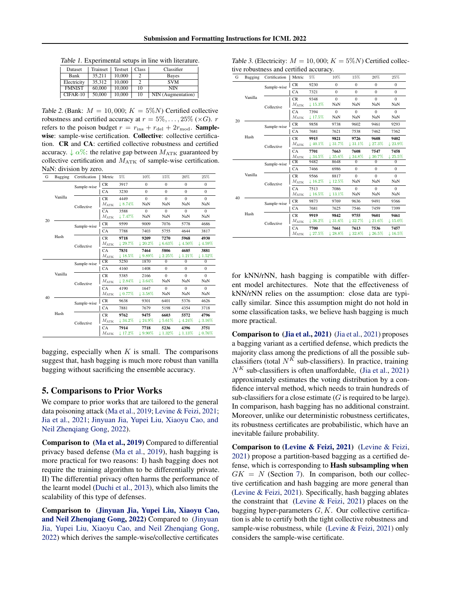<span id="page-5-0"></span>Table 1. Experimental setups in line with literature.

| Dataset       | Trainset | Testset | Class | Classifier         |
|---------------|----------|---------|-------|--------------------|
| Bank          | 35.211   | 10,000  |       | Bayes              |
| Electricity   | 35.312   | 10,000  |       | <b>SVM</b>         |
| <b>FMNIST</b> | 60,000   | 10,000  | 10    | <b>NIN</b>         |
| CIFAR-10      | 50,000   | 10,000  | 10    | NIN (Augmentation) |

<span id="page-5-2"></span>Table 2. (Bank:  $M = 10,000$ ;  $K = 5\%N$ ) Certified collective robustness and certified accuracy at  $r = 5\%, \ldots, 25\%$  ( $\times G$ ). r refers to the poison budget  $r = r_{\text{ins}} + r_{\text{del}} + 2r_{\text{mod}}$ . Samplewise: sample-wise certification. Collective: collective certification. CR and CA: certified collective robustness and certified accuracy.  $\downarrow \alpha\%$ : the relative gap between  $M_{\text{ATK}}$  guaranteed by collective certification and  $M_{\text{ATK}}$  of sample-wise certification. NaN: division by zero.

| G  | Bagging | Certification | Metric         | 5%                   | 10%                  | 15%                 | 20%                | 25%                 |
|----|---------|---------------|----------------|----------------------|----------------------|---------------------|--------------------|---------------------|
|    |         | Sample-wise   | <b>CR</b>      | 3917                 | $\theta$             | $\Omega$            | $\Omega$           | $\mathbf{0}$        |
|    |         |               | CA             | 3230                 | $\mathbf{0}$         | $\mathbf{0}$        | $\mathbf{0}$       | $\mathbf{0}$        |
|    | Vanilla |               | <b>CR</b>      | 4449                 | $\theta$             | $\theta$            | $\Omega$           | $\theta$            |
|    |         | Collective    | $M_{\rm ATK}$  | 18.74%               | NaN                  | NaN                 | NaN                | NaN                 |
|    |         |               | <b>CA</b>      | 3588                 | $\theta$             | $\theta$            | $\Omega$           | $\Omega$            |
| 20 |         |               | $M_{\rm ATK}$  | 17.47%               | NaN                  | NaN                 | NaN                | NaN                 |
|    |         | Sample-wise   | <b>CR</b>      | 9599                 | 9009                 | 7076                | 5778               | 4686                |
|    | Hash    |               | CA             | 7788                 | 7403                 | 5755                | 4644               | 3817                |
|    |         |               | <b>CR</b>      | 9718                 | 9209                 | 7270                | 5968               | 4930                |
|    |         | Collective    | $M_{\rm ATK}$  | $+29.7%$             | $\downarrow 20.2\%$  | $\downarrow 6.63\%$ | $\downarrow$ 4.50% | $\downarrow$ 4.59%  |
|    |         |               | CA             | 7831                 | 7464                 | 5806                | 4685               | 3881                |
|    |         |               | $M_{\rm{ATK}}$ | $\downarrow$ 18.5%   | $~\downarrow 9.89\%$ | 12.25%              | $1.21\%$           | $\downarrow 1.52\%$ |
|    |         | Sample-wise   | CR             | 5250                 | 1870                 | $\overline{0}$      | $\mathbf{0}$       | $\mathbf{0}$        |
|    |         |               | <b>CA</b>      | 4160                 | 1408                 | $\mathbf{0}$        | $\mathbf{0}$       | $\mathbf{0}$        |
|    | Vanilla |               | <b>CR</b>      | 5385                 | 2166                 | $\theta$            | $\Omega$           | $\Omega$            |
|    |         | Collective    | $M_{\rm ATK}$  | $12.84\%$            | $\downarrow$ 3.64%   | NaN                 | NaN                | NaN                 |
|    |         |               | CA             | 4190                 | 1647                 | $\theta$            | $\Omega$           | $\Omega$            |
|    |         |               | $M_{\rm ATK}$  | $~\downarrow 0.77\%$ | $+3.58\%$            | NaN                 | NaN                | NaN                 |
| 40 |         | Sample-wise   | <b>CR</b>      | 9638                 | 9301                 | 6401                | 5376               | 4626                |
|    |         |               | CA             | 7881                 | 7679                 | 5198                | 4354               | 3718                |
|    | Hash    |               | <b>CR</b>      | 9762                 | 9475                 | 6603                | 5572               | 4796                |
|    |         | Collective    | $M_{\rm ATK}$  | $\downarrow$ 34.2%   | $\downarrow$ 24.9%   | $\downarrow$ 5.61%  | 14.24%             | $13.16\%$           |
|    |         |               | CA             | 7914                 | 7718                 | 5236                | 4396               | 3751                |
|    |         |               | $M_{\rm ATK}$  | $+17.2\%$            | $\downarrow 9.90\%$  | $\downarrow$ 1.32%  | $\downarrow$ 1.13% | $10.76\%$           |

bagging, especially when  $K$  is small. The comparisons suggest that, hash bagging is much more robust than vanilla bagging without sacrificing the ensemble accuracy.

# 5. Comparisons to Prior Works

We compare to prior works that are tailored to the general data poisoning attack [\(Ma et al.,](#page-8-12) [2019;](#page-8-12) [Levine & Feizi,](#page-8-2) [2021;](#page-8-2) [Jia et al.,](#page-8-3) [2021;](#page-8-3) [Jinyuan Jia, Yupei Liu, Xiaoyu Cao, and](#page-8-13) [Neil Zhenqiang Gong,](#page-8-13) [2022\)](#page-8-13).

Comparison to [\(Ma et al.,](#page-8-12) [2019\)](#page-8-12) Compared to differential privacy based defense [\(Ma et al.,](#page-8-12) [2019\)](#page-8-12), hash bagging is more practical for two reasons: I) hash bagging does not require the training algorithm to be differentially private. II) The differential privacy often harms the performance of the learnt model [\(Duchi et al.,](#page-8-16) [2013\)](#page-8-16), which also limits the scalability of this type of defenses.

Comparison to [\(Jinyuan Jia, Yupei Liu, Xiaoyu Cao,](#page-8-13) [and Neil Zhenqiang Gong,](#page-8-13) [2022\)](#page-8-13) Compared to [\(Jinyuan](#page-8-13) [Jia, Yupei Liu, Xiaoyu Cao, and Neil Zhenqiang Gong,](#page-8-13) [2022\)](#page-8-13) which derives the sample-wise/collective certificates

<span id="page-5-1"></span>

| Table 3. (Electricity: $M = 10,000; K = 5\%N$ ) Certified collec- |
|-------------------------------------------------------------------|
| tive robustness and certified accuracy.                           |

|    |         | $55$ and centrical accuracy. |               |                    |                      |              |                    |                     |
|----|---------|------------------------------|---------------|--------------------|----------------------|--------------|--------------------|---------------------|
| G  | Bagging | Certification                | Metric        | 5%                 | 10%                  | 15%          | 20%                | 25%                 |
|    |         | Sample-wise                  | CR            | 9230               | $\overline{0}$       | $\mathbf{0}$ | $\Omega$           | $\mathbf{0}$        |
|    |         |                              | CA            | 7321               | $\Omega$             | $\Omega$     | $\Omega$           | $\Omega$            |
|    | Vanilla |                              | <b>CR</b>     | 9348               | $\theta$             | $\theta$     | $\Omega$           | $\Omega$            |
|    |         | Collective                   | $M_{\rm ATK}$ | 15.3%              | NaN                  | NaN          | NaN                | NaN                 |
|    |         |                              | <b>CA</b>     | 7394               | $\theta$             | $\theta$     | $\Omega$           | $\Omega$            |
| 20 |         |                              | $M_{\rm ATK}$ | ~17.5%             | NaN                  | NaN          | NaN                | NaN                 |
|    |         | Sample-wise                  | CR            | 9858               | 9738                 | 9602         | 9461               | 9293                |
|    |         |                              | CA            | 7681               | 7621                 | 7538         | 7462               | 7362                |
|    | Hash    |                              | <b>CR</b>     | 9915               | 9821                 | 9726         | 9608               | 9402                |
|    |         | Collective                   | $M_{\rm ATK}$ | $\downarrow$ 40.1% | 131.7%               | $131.1\%$    | 127.3%             | $\downarrow 23.9\%$ |
|    |         |                              | CA            | 7701               | 7663                 | 7608         | 7547               | 7458                |
|    |         |                              | $M_{\rm ATK}$ | 134.5%             | 135.6%               | 134.8%       | 130.7%             | 25.5%               |
|    |         | Sample-wise                  | CR            | 9482               | 8648                 | $\Omega$     | $\Omega$           | $\mathbf{0}$        |
|    |         |                              | CA            | 7466               | 6986                 | $\Omega$     | $\Omega$           | $\Omega$            |
|    | Vanilla |                              | <b>CR</b>     | 9566               | 8817                 | $\theta$     | $\Omega$           | $\Omega$            |
|    |         | Collective                   | $M_{\rm ATK}$ | $\downarrow$ 16.2% | $~\downarrow 12.5\%$ | NaN          | NaN                | NaN                 |
|    |         |                              | CA            | 7513               | 7086                 | $\theta$     | $\Omega$           | $\Omega$            |
| 40 |         |                              | $M_{\rm ATK}$ | $\downarrow$ 16.5% | $\downarrow$ 13.1%   | NaN          | NaN                | NaN                 |
|    |         | Sample-wise                  | <b>CR</b>     | 9873               | 9769                 | 9636         | 9491               | 9366                |
|    |         |                              | CA            | 7681               | 7625                 | 7546         | 7459               | 7399                |
|    | Hash    |                              | <b>CR</b>     | 9919               | 9842                 | 9755         | 9601               | 9461                |
|    |         | Collective                   | $M_{\rm ATK}$ | $\downarrow$ 36.2% | $+31.6\%$            | 132.7%       | $121.6\%$          | $+15.0\%$           |
|    |         |                              | CA            | 7700               | 7661                 | 7613         | 7536               | 7457                |
|    |         |                              | $M_{\rm ATK}$ | 127.5%             | 128.8%               | 132.8%       | $\downarrow$ 26.5% | 116.5%              |

for kNN/rNN, hash bagging is compatible with different model architectures. Note that the effectiveness of kNN/rNN relies on the assumption: close data are typically similar. Since this assumption might do not hold in some classification tasks, we believe hash bagging is much more practical.

Comparison to [\(Jia et al.,](#page-8-3) [2021\)](#page-8-3) [\(Jia et al.,](#page-8-3) [2021\)](#page-8-3) proposes a bagging variant as a certified defense, which predicts the majority class among the predictions of all the possible subclassifiers (total  $N^K$  sub-classifiers). In practice, training  $N<sup>K</sup>$  sub-classifiers is often unaffordable, [\(Jia et al.,](#page-8-3) [2021\)](#page-8-3) approximately estimates the voting distribution by a confidence interval method, which needs to train hundreds of sub-classifiers for a close estimate  $(G$  is required to be large). In comparison, hash bagging has no additional constraint. Moreover, unlike our deterministic robustness certificates, its robustness certificates are probabilistic, which have an inevitable failure probability.

Comparison to [\(Levine & Feizi,](#page-8-2) [2021\)](#page-8-2) [\(Levine & Feizi,](#page-8-2) [2021\)](#page-8-2) propose a partition-based bagging as a certified defense, which is corresponding to Hash subsampling when  $GK = N$  (Section [7\)](#page-3-4). In comparison, both our collective certification and hash bagging are more general than [\(Levine & Feizi,](#page-8-2) [2021\)](#page-8-2). Specifically, hash bagging ablates the constraint that [\(Levine & Feizi,](#page-8-2) [2021\)](#page-8-2) places on the bagging hyper-parameters  $G, K$ . Our collective certification is able to certify both the tight collective robustness and sample-wise robustness, while [\(Levine & Feizi,](#page-8-2) [2021\)](#page-8-2) only considers the sample-wise certificate.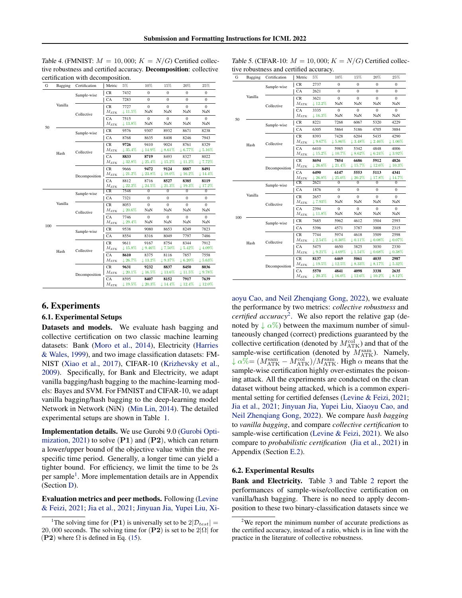<span id="page-6-2"></span>Table 4. (FMNIST:  $M = 10,000$ ;  $K = N/G$ ) Certified collective robustness and certified accuracy. Decomposition: collective certification with decomposition.

| G   | Bagging | Certification | Metric              | 5%                   | 10%            | 15%                        | 20%                        | 25%                        |
|-----|---------|---------------|---------------------|----------------------|----------------|----------------------------|----------------------------|----------------------------|
|     |         | Sample-wise   | CR                  | 7432                 | $\overline{0}$ | $\mathbf{0}$               | $\mathbf{0}$               | $\mathbf{0}$               |
|     |         |               | CA                  | 7283                 | $\mathbf{0}$   | $\mathbf{0}$               | $\mathbf{0}$               | $\mathbf{0}$               |
|     | Vanilla |               | <b>CR</b>           | 7727                 | $\mathbf{0}$   | $\mathbf{0}$               | $\mathbf{0}$               | $\mathbf{0}$               |
|     |         | Collective    | $M_{\rm ATK}$       | $~\downarrow 11.5\%$ | NaN            | NaN                        | NaN                        | NaN                        |
|     |         |               | CA                  | 7515                 | $\theta$       | $\theta$                   | $\Omega$                   | $\Omega$                   |
| 50  |         |               | $M_{\rm ATK}$       | $+13.8\%$            | NaN            | NaN                        | NaN                        | NaN                        |
|     |         | Sample-wise   | CR                  | 9576                 | 9307           | 8932                       | 8671                       | 8238                       |
|     |         |               | CA                  | 8768                 | 8635           | 8408                       | 8246                       | 7943                       |
|     |         |               | <b>CR</b>           | 9726                 | 9410           | 9024                       | 8761                       | 8329                       |
|     | Hash    | Collective    | $M_{\rm ATK}$       | 135.4%               | $+14.9\%$      | $+8.61\%$                  | $+6.77\%$                  | $+5.16\%$                  |
|     |         |               | CA                  | 8833                 | 8719           | 8493                       | 8327                       | 8022                       |
|     |         |               | $M_{\rm ATK}$       | $+32.8\%$            | $+25.4\%$      | $+15.2\%$                  | $+11.2\%$                  | 17.72%                     |
|     |         |               | <b>CR</b>           | 9666                 | 9472           | 9124                       | 8887                       | 8491                       |
|     |         | Decomposition | $M_{\rm ATK}$       | $+21.2\%$            | $+23.8\%$      | $~\downarrow 18.0\%$       | $+16.2\%$                  | $+14.4\%$                  |
|     |         |               | CA<br>$M_{\rm ATK}$ | 8812<br>$+22.2\%$    | 8716<br>124.5% | 8527<br>121.3%             | 8385<br>$\downarrow$ 19.3% | 8119<br>117.2%             |
|     |         |               | CR                  | 7548                 | $\mathbf{0}$   | $\Omega$                   | $\Omega$                   | $\bf{0}$                   |
|     |         | Sample-wise   | CA                  | 7321                 | $\mathbf{0}$   | $\mathbf{0}$               | $\mathbf{0}$               | $\mathbf{0}$               |
|     | Vanilla | Collective    | <b>CR</b>           | 8053                 | $\mathbf{0}$   | $\mathbf{0}$               | $\mathbf{0}$               | $\mathbf{0}$               |
|     |         |               | $M_{\rm ATK}$       | $~120.6\%$           | NaN            | NaN                        | NaN                        | NaN                        |
|     |         |               | CA                  | 7746                 | $\overline{0}$ | $\mathbf{0}$               | $\mathbf{0}$               | $\mathbf{0}$               |
| 100 |         |               | $M_{\rm ATK}$       | $129.4\%$            | NaN            | NaN                        | NaN                        | NaN                        |
|     |         | Sample-wise   | CR                  | 9538                 | 9080           | 8653                       | 8249                       | 7823                       |
|     |         |               | CA                  | 8554                 | 8316           | 8049                       | 7797                       | 7486                       |
|     |         |               | <b>CR</b>           | 9611                 | 9167           | 8754                       | 8344                       | 7912                       |
|     | Hash    | Collective    | $M_{\rm ATK}$       | $+15.8\%$            | 19.46%         | $+7.50\%$                  | $\downarrow$ 5.42%         | $14.09\%$                  |
|     |         |               | CA                  | 8610                 | 8375           | 8116                       | 7857                       | 7558                       |
|     |         |               | $M_{\rm ATK}$       | 126.7%               | $+13.2\%$      | $+9.37\%$                  | $+6.20\%$                  | $+5.63%$                   |
|     |         |               | CR                  | 9631                 | 9232           | 8837                       | 8450                       | 8036                       |
|     |         | Decomposition | $M_{\rm ATK}$       | $~120.1\%$           | $+16.5%$       | $+13.6\%$                  | $+11.5\%$                  | $+9.78%$                   |
|     |         |               | CA<br>$M_{\rm ATK}$ | 8595<br>19.5%        | 8407<br>120.3% | 8152<br>$\downarrow$ 14.4% | 7917<br>$\downarrow$ 12.4% | 7639<br>$\downarrow$ 12.0% |
|     |         |               |                     |                      |                |                            |                            |                            |

### 6. Experiments

#### 6.1. Experimental Setups

Datasets and models. We evaluate hash bagging and collective certification on two classic machine learning datasets: Bank [\(Moro et al.,](#page-8-17) [2014\)](#page-8-17), Electricity [\(Harries](#page-8-18) [& Wales,](#page-8-18) [1999\)](#page-8-18), and two image classification datasets: FM-NIST [\(Xiao et al.,](#page-9-10) [2017\)](#page-9-10), CIFAR-10 [\(Krizhevsky et al.,](#page-8-19) [2009\)](#page-8-19). Specifically, for Bank and Electricity, we adapt vanilla bagging/hash bagging to the machine-learning models: Bayes and SVM. For FMNIST and CIFAR-10, we adapt vanilla bagging/hash bagging to the deep-learning model Network in Network (NiN) [\(Min Lin,](#page-8-20) [2014\)](#page-8-20). The detailed experimental setups are shown in Table [1.](#page-5-0)

Implementation details. We use Gurobi 9.0 [\(Gurobi Opti](#page-8-21)[mization,](#page-8-21) [2021\)](#page-8-21) to solve  $(P1)$  and  $(P2)$ , which can return a lower/upper bound of the objective value within the prespecific time period. Generally, a longer time can yield a tighter bound. For efficiency, we limit the time to be 2s per sample<sup>[1](#page-6-0)</sup>. More implementation details are in Appendix (Section [D\)](#page-12-0).

Evaluation metrics and peer methods. Following [\(Levine](#page-8-2) [& Feizi,](#page-8-2) [2021;](#page-8-2) [Jia et al.,](#page-8-3) [2021;](#page-8-3) [Jinyuan Jia, Yupei Liu, Xi-](#page-8-13)

| G   | Bagging | Certification | Metric                      | 5%                         | 10%                                       | 15%                          | 20%                        | 25%                        |
|-----|---------|---------------|-----------------------------|----------------------------|-------------------------------------------|------------------------------|----------------------------|----------------------------|
|     |         | Sample-wise   | CR                          | 2737                       | $\mathbf{0}$                              | $\mathbf{0}$                 | $\mathbf{0}$               | $\mathbf{0}$               |
|     |         |               | CA                          | 2621                       | $\overline{0}$                            | $\mathbf{0}$                 | $\overline{0}$             | $\bf{0}$                   |
|     | Vanilla | Collective    | <b>CR</b><br>$M_{\rm ATK}$  | 3621<br>$\downarrow$ 12.2% | $\overline{0}$<br>NaN                     | $\mathbf{0}$<br>NaN          | $\overline{0}$<br>NaN      | $\mathbf{0}$<br>NaN        |
|     |         |               | CA<br>$M_{\rm ATK}$         | 3335<br>$+16.3\%$          | $\mathbf{0}$<br>NaN                       | $\theta$<br>NaN              | $\overline{0}$<br>NaN      | $\mathbf{0}$<br>NaN        |
| 50  |         | Sample-wise   | CR                          | 8221                       | 7268                                      | 6067                         | 5320                       | 4229                       |
|     |         |               | CA                          | 6305                       | 5864                                      | 5186                         | 4705                       | 3884                       |
|     | Hash    | Collective    | <b>CR</b><br>$M_{\rm{ATK}}$ | 8393<br>$+9.67%$           | 7428<br>$+5.86\%$                         | 6204<br>$+3.48\%$            | 5435<br>$+2.46%$           | 4290<br>$+1.06\%$          |
|     |         |               | CA<br>$M_{\rm ATK}$         | 6410<br>$+15.2\%$          | 5985<br>$+10.7\%$                         | 5342<br>$+8.62\%$            | 4848<br>$+6.24\%$          | 4006<br>$13.92\%$          |
|     |         | Decomposition | CR<br>$M_{\rm ATK}$         | 8694<br>$+26.6\%$          | 7854<br>$\downarrow$ 21.4%                | 6686<br>$+15.7%$             | 5912<br>$+12.6\%$          | 4826<br>$\downarrow$ 10.3% |
|     |         |               | CA<br>$M_{\rm ATK}$         | 6490<br>$~126.8\%$         | 6147<br>$125.0\%$                         | 5553<br>$~\downarrow 20.2\%$ | 5113<br>$~17.8\%$          | 4341<br>$+14.7\%$          |
|     |         | Sample-wise   | CR                          | 2621                       | $\overline{0}$                            | $\overline{0}$               | $\overline{0}$             | $\overline{0}$             |
|     |         |               | CA                          | 1876                       | $\overline{0}$                            | $\mathbf{0}$                 | $\overline{0}$             | $\bf{0}$                   |
|     | Vanilla | Collective    | CR<br>$M_{\rm ATK}$         | 2657<br>$+7.93%$           | $\overline{0}$<br>$\mathrm{Na}\mathrm{N}$ | $\mathbf{0}$<br>NaN          | $\mathbf{0}$<br>NaN        | $\mathbf{0}$<br>NaN        |
| 100 |         |               | CA<br>$M_{\rm ATK}$         | 2394<br>$+11.8\%$          | $\Omega$<br>NaN                           | $\theta$<br>NaN              | $\theta$<br>NaN            | $\Omega$<br>NaN            |
|     |         | Sample-wise   | CR                          | 7685                       | 5962                                      | 4612                         | 3504                       | 2593                       |
|     |         |               | CA                          | 5396                       | 4571                                      | 3787                         | 3008                       | 2315                       |
|     | Hash    | Collective    | <b>CR</b><br>$M_{\rm ATK}$  | 7744<br>$+2.54%$           | 5974<br>$\downarrow 0.30\%$               | 4618<br>$+0.11\%$            | 3509<br>$+0.08\%$          | 2598<br>$+0.07%$           |
|     |         |               | CA<br>$M_{\rm ATK}$         | 5475<br>$+9.21%$           | 4650<br>$+4.69\%$                         | 3825<br>$+1.54\%$            | 3030<br>$+0.68\%$          | 2330<br>$+0.38\%$          |
|     |         | Decomposition | CR<br>$M_{\rm ATK}$         | 8137<br>$+19.5\%$          | 6469<br>$+12.5\%$                         | 5061<br>$+8.33\%$            | 4035<br>$+8.17%$           | 2987<br>$+5.32\%$          |
|     |         |               | CA<br>$M_{\rm ATK}$         | 5570<br>$~120.3\%$         | 4841<br>$+16.0\%$                         | 4098<br>$~12.6\%$            | 3338<br>$\downarrow$ 10.2% | 2635<br>$+8.12\%$          |

<span id="page-6-3"></span>Table 5. (CIFAR-10:  $M = 10,000; K = N/G$ ) Certified collective robustness and certified accuracy.

[aoyu Cao, and Neil Zhenqiang Gong,](#page-8-13) [2022\)](#page-8-13), we evaluate the performance by two metrics: *collective robustness* and *certified accuracy*[2](#page-6-1) . We also report the relative gap (denoted by  $\downarrow \alpha\%$ ) between the maximum number of simultaneously changed (correct) predictions guaranteed by the collective certification (denoted by  $M_{\text{ATK}}^{\text{col}}$ ) and that of the sample-wise certification (denoted by  $M_{\text{ATK}}^{\text{sam}}$ ). Namely,  $\downarrow \alpha\% = (M_{\rm ATK}^{\rm sam} - M_{\rm ATK}^{\rm col})/M_{\rm ATK}^{\rm sam}$ . High  $\alpha$  means that the sample-wise certification highly over-estimates the poisoning attack. All the experiments are conducted on the clean dataset without being attacked, which is a common experimental setting for certified defenses [\(Levine & Feizi,](#page-8-2) [2021;](#page-8-2) [Jia et al.,](#page-8-3) [2021;](#page-8-3) [Jinyuan Jia, Yupei Liu, Xiaoyu Cao, and](#page-8-13) [Neil Zhenqiang Gong,](#page-8-13) [2022\)](#page-8-13). We compare *hash bagging* to *vanilla bagging*, and compare *collective certification* to sample-wise certification [\(Levine & Feizi,](#page-8-2) [2021\)](#page-8-2). We also compare to *probabilistic certification* [\(Jia et al.,](#page-8-3) [2021\)](#page-8-3) in Appendix (Section [E.2\)](#page-13-0).

#### 6.2. Experimental Results

Bank and Electricity. Table [3](#page-5-1) and Table [2](#page-5-2) report the performances of sample-wise/collective certification on vanilla/hash bagging. There is no need to apply decomposition to these two binary-classification datasets since we

<span id="page-6-0"></span>The solving time for (P1) [is universally set to be](#page-8-13)  $2|\mathcal{D}_{test}| =$ 20, 000 [seconds. The solving time for](#page-8-13)  $(\mathbf{P2})$  is set to be  $2|\Omega|$  for (P2) where  $\Omega$  [is defined in Eq. \(15\).](#page-8-13)

<span id="page-6-1"></span> $2$ We report the minimum number of accurate predictions as the certified accuracy, instead of a ratio, which is in line with the practice in the literature of collective robustness.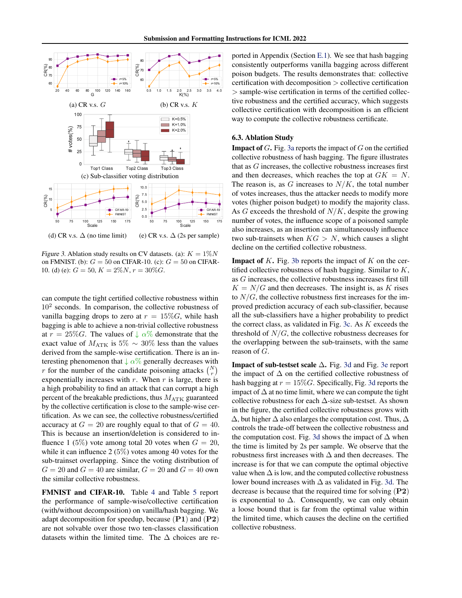<span id="page-7-0"></span>

Figure 3. Ablation study results on CV datasets. (a):  $K = 1\%N$ on FMNIST. (b):  $G = 50$  on CIFAR-10. (c):  $G = 50$  on CIFAR-10. (d) (e):  $G = 50, K = 2\%N, r = 30\%G$ .

can compute the tight certified collective robustness within  $10<sup>2</sup>$  seconds. In comparison, the collective robustness of vanilla bagging drops to zero at  $r = 15\%G$ , while hash bagging is able to achieve a non-trivial collective robustness at  $r = 25\%$ G. The values of  $\downarrow \alpha\%$  demonstrate that the exact value of  $M_{\text{ATK}}$  is 5%  $\sim 30\%$  less than the values derived from the sample-wise certification. There is an interesting phenomenon that  $\downarrow \alpha\%$  generally decreases with r for the number of the candidate poisoning attacks  $\binom{N}{r}$ exponentially increases with  $r$ . When  $r$  is large, there is a high probability to find an attack that can corrupt a high percent of the breakable predictions, thus  $M_{\text{ATK}}$  guaranteed by the collective certification is close to the sample-wise certification. As we can see, the collective robustness/certified accuracy at  $G = 20$  are roughly equal to that of  $G = 40$ . This is because an insertion/deletion is considered to influence 1 (5%) vote among total 20 votes when  $G = 20$ , while it can influence 2 (5%) votes among 40 votes for the sub-trainset overlapping. Since the voting distribution of  $G = 20$  and  $G = 40$  are similar,  $G = 20$  and  $G = 40$  own the similar collective robustness.

FMNIST and CIFAR-10. Table [4](#page-6-2) and Table [5](#page-6-3) report the performance of sample-wise/collective certification (with/without decomposition) on vanilla/hash bagging. We adapt decomposition for speedup, because  $(P1)$  and  $(P2)$ are not solvable over those two ten-classes classification datasets within the limited time. The  $\Delta$  choices are reported in Appendix (Section [E.1\)](#page-13-1). We see that hash bagging consistently outperforms vanilla bagging across different poison budgets. The results demonstrates that: collective certification with decomposition > collective certification > sample-wise certification in terms of the certified collective robustness and the certified accuracy, which suggests collective certification with decomposition is an efficient way to compute the collective robustness certificate.

#### 6.3. Ablation Study

**Impact of G.** Fig. [3a](#page-7-0) reports the impact of  $G$  on the certified collective robustness of hash bagging. The figure illustrates that as G increases, the collective robustness increases first and then decreases, which reaches the top at  $GK = N$ . The reason is, as G increases to  $N/K$ , the total number of votes increases, thus the attacker needs to modify more votes (higher poison budget) to modify the majority class. As  $G$  exceeds the threshold of  $N/K$ , despite the growing number of votes, the influence scope of a poisoned sample also increases, as an insertion can simultaneously influence two sub-trainsets when  $KG > N$ , which causes a slight decline on the certified collective robustness.

**Impact of K.** Fig. [3b](#page-7-0) reports the impact of K on the certified collective robustness of hash bagging. Similar to K, as G increases, the collective robustness increases first till  $K = N/G$  and then decreases. The insight is, as K rises to  $N/G$ , the collective robustness first increases for the improved prediction accuracy of each sub-classifier, because all the sub-classifiers have a higher probability to predict the correct class, as validated in Fig. [3c.](#page-7-0) As  $K$  exceeds the threshold of  $N/G$ , the collective robustness decreases for the overlapping between the sub-trainsets, with the same reason of G.

Impact of sub-testset scale ∆. Fig. [3d](#page-7-0) and Fig. [3e](#page-7-0) report the impact of  $\Delta$  on the certified collective robustness of hash bagging at  $r = 15\%$  G. Specifically, Fig. [3d](#page-7-0) reports the impact of  $\Delta$  at no time limit, where we can compute the tight collective robustness for each  $\Delta$ -size sub-testset. As shown in the figure, the certified collective robustness grows with  $\Delta$ , but higher  $\Delta$  also enlarges the computation cost. Thus,  $\Delta$ controls the trade-off between the collective robustness and the computation cost. Fig. [3d](#page-7-0) shows the impact of  $\Delta$  when the time is limited by 2s per sample. We observe that the robustness first increases with  $\Delta$  and then decreases. The increase is for that we can compute the optimal objective value when  $\Delta$  is low, and the computed collective robustness lower bound increases with ∆ as validated in Fig. [3d.](#page-7-0) The decrease is because that the required time for solving  $(P2)$ is exponential to  $\Delta$ . Consequently, we can only obtain a loose bound that is far from the optimal value within the limited time, which causes the decline on the certified collective robustness.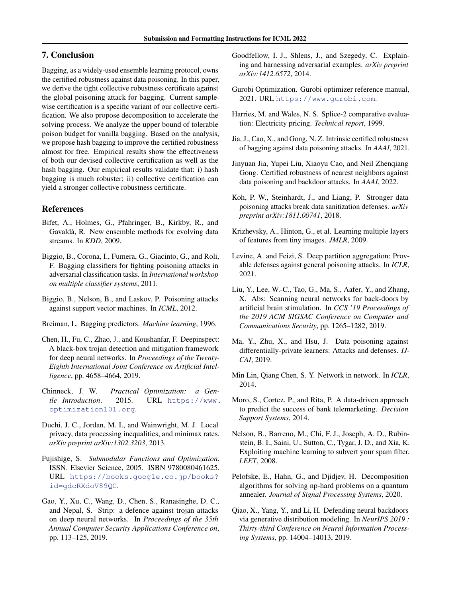# 7. Conclusion

Bagging, as a widely-used ensemble learning protocol, owns the certified robustness against data poisoning. In this paper, we derive the tight collective robustness certificate against the global poisoning attack for bagging. Current samplewise certification is a specific variant of our collective certification. We also propose decomposition to accelerate the solving process. We analyze the upper bound of tolerable poison budget for vanilla bagging. Based on the analysis, we propose hash bagging to improve the certified robustness almost for free. Empirical results show the effectiveness of both our devised collective certification as well as the hash bagging. Our empirical results validate that: i) hash bagging is much robuster; ii) collective certification can yield a stronger collective robustness certificate.

# References

- <span id="page-8-23"></span>Bifet, A., Holmes, G., Pfahringer, B., Kirkby, R., and Gavalda, R. New ensemble methods for evolving data ` streams. In *KDD*, 2009.
- <span id="page-8-1"></span>Biggio, B., Corona, I., Fumera, G., Giacinto, G., and Roli, F. Bagging classifiers for fighting poisoning attacks in adversarial classification tasks. In *International workshop on multiple classifier systems*, 2011.
- <span id="page-8-6"></span>Biggio, B., Nelson, B., and Laskov, P. Poisoning attacks against support vector machines. In *ICML*, 2012.
- <span id="page-8-0"></span>Breiman, L. Bagging predictors. *Machine learning*, 1996.
- <span id="page-8-8"></span>Chen, H., Fu, C., Zhao, J., and Koushanfar, F. Deepinspect: A black-box trojan detection and mitigation framework for deep neural networks. In *Proceedings of the Twenty-Eighth International Joint Conference on Artificial Intelligence*, pp. 4658–4664, 2019.
- <span id="page-8-22"></span>Chinneck, J. W. *Practical Optimization: a Gentle Introduction*. 2015. URL [https://www.](https://www.optimization101.org) [optimization101.org](https://www.optimization101.org).
- <span id="page-8-16"></span>Duchi, J. C., Jordan, M. I., and Wainwright, M. J. Local privacy, data processing inequalities, and minimax rates. *arXiv preprint arXiv:1302.3203*, 2013.
- <span id="page-8-15"></span>Fujishige, S. *Submodular Functions and Optimization*. ISSN. Elsevier Science, 2005. ISBN 9780080461625. URL [https://books.google.co.jp/books?](https://books.google.co.jp/books?id=gdcRXdoV89QC) [id=gdcRXdoV89QC](https://books.google.co.jp/books?id=gdcRXdoV89QC).
- <span id="page-8-9"></span>Gao, Y., Xu, C., Wang, D., Chen, S., Ranasinghe, D. C., and Nepal, S. Strip: a defence against trojan attacks on deep neural networks. In *Proceedings of the 35th Annual Computer Security Applications Conference on*, pp. 113–125, 2019.
- <span id="page-8-4"></span>Goodfellow, I. J., Shlens, J., and Szegedy, C. Explaining and harnessing adversarial examples. *arXiv preprint arXiv:1412.6572*, 2014.
- <span id="page-8-21"></span>Gurobi Optimization. Gurobi optimizer reference manual, 2021. URL <https://www.gurobi.com>.
- <span id="page-8-18"></span>Harries, M. and Wales, N. S. Splice-2 comparative evaluation: Electricity pricing. *Technical report*, 1999.
- <span id="page-8-3"></span>Jia, J., Cao, X., and Gong, N. Z. Intrinsic certified robustness of bagging against data poisoning attacks. In *AAAI*, 2021.
- <span id="page-8-13"></span>Jinyuan Jia, Yupei Liu, Xiaoyu Cao, and Neil Zhenqiang Gong. Certified robustness of nearest neighbors against data poisoning and backdoor attacks. In *AAAI*, 2022.
- <span id="page-8-11"></span>Koh, P. W., Steinhardt, J., and Liang, P. Stronger data poisoning attacks break data sanitization defenses. *arXiv preprint arXiv:1811.00741*, 2018.
- <span id="page-8-19"></span>Krizhevsky, A., Hinton, G., et al. Learning multiple layers of features from tiny images. *JMLR*, 2009.
- <span id="page-8-2"></span>Levine, A. and Feizi, S. Deep partition aggregation: Provable defenses against general poisoning attacks. In *ICLR*, 2021.
- <span id="page-8-7"></span>Liu, Y., Lee, W.-C., Tao, G., Ma, S., Aafer, Y., and Zhang, X. Abs: Scanning neural networks for back-doors by artificial brain stimulation. In *CCS '19 Proceedings of the 2019 ACM SIGSAC Conference on Computer and Communications Security*, pp. 1265–1282, 2019.
- <span id="page-8-12"></span>Ma, Y., Zhu, X., and Hsu, J. Data poisoning against differentially-private learners: Attacks and defenses. *IJ-CAI*, 2019.
- <span id="page-8-20"></span>Min Lin, Qiang Chen, S. Y. Network in network. In *ICLR*, 2014.
- <span id="page-8-17"></span>Moro, S., Cortez, P., and Rita, P. A data-driven approach to predict the success of bank telemarketing. *Decision Support Systems*, 2014.
- <span id="page-8-5"></span>Nelson, B., Barreno, M., Chi, F. J., Joseph, A. D., Rubinstein, B. I., Saini, U., Sutton, C., Tygar, J. D., and Xia, K. Exploiting machine learning to subvert your spam filter. *LEET*, 2008.
- <span id="page-8-14"></span>Pelofske, E., Hahn, G., and Djidjev, H. Decomposition algorithms for solving np-hard problems on a quantum annealer. *Journal of Signal Processing Systems*, 2020.
- <span id="page-8-10"></span>Qiao, X., Yang, Y., and Li, H. Defending neural backdoors via generative distribution modeling. In *NeurIPS 2019 : Thirty-third Conference on Neural Information Processing Systems*, pp. 14004–14013, 2019.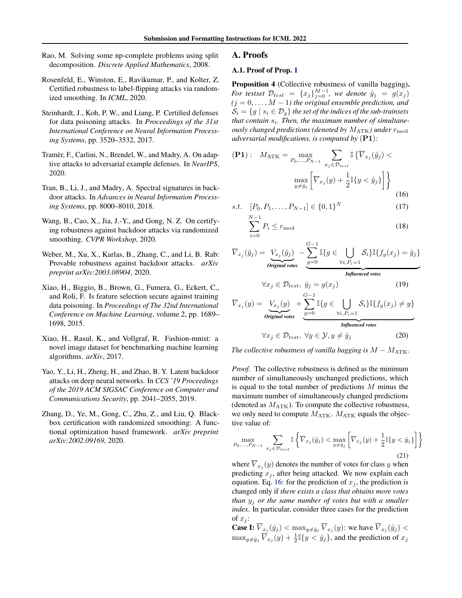- <span id="page-9-9"></span>Rao, M. Solving some np-complete problems using split decomposition. *Discrete Applied Mathematics*, 2008.
- <span id="page-9-7"></span>Rosenfeld, E., Winston, E., Ravikumar, P., and Kolter, Z. Certified robustness to label-flipping attacks via randomized smoothing. In *ICML*, 2020.
- <span id="page-9-5"></span>Steinhardt, J., Koh, P. W., and Liang, P. Certified defenses for data poisoning attacks. In *Proceedings of the 31st International Conference on Neural Information Processing Systems*, pp. 3520–3532, 2017.
- <span id="page-9-4"></span>Tramèr, F., Carlini, N., Brendel, W., and Madry, A. On adaptive attacks to adversarial example defenses. In *NeurIPS*, 2020.
- <span id="page-9-3"></span>Tran, B., Li, J., and Madry, A. Spectral signatures in backdoor attacks. In *Advances in Neural Information Processing Systems*, pp. 8000–8010, 2018.
- <span id="page-9-6"></span>Wang, B., Cao, X., Jia, J.-Y., and Gong, N. Z. On certifying robustness against backdoor attacks via randomized smoothing. *CVPR Workshop*, 2020.
- <span id="page-9-8"></span>Weber, M., Xu, X., Karlas, B., Zhang, C., and Li, B. Rab: Provable robustness against backdoor attacks. *arXiv preprint arXiv:2003.08904*, 2020.
- <span id="page-9-0"></span>Xiao, H., Biggio, B., Brown, G., Fumera, G., Eckert, C., and Roli, F. Is feature selection secure against training data poisoning. In *Proceedings of The 32nd International Conference on Machine Learning*, volume 2, pp. 1689– 1698, 2015.
- <span id="page-9-10"></span>Xiao, H., Rasul, K., and Vollgraf, R. Fashion-mnist: a novel image dataset for benchmarking machine learning algorithms. *arXiv*, 2017.
- <span id="page-9-1"></span>Yao, Y., Li, H., Zheng, H., and Zhao, B. Y. Latent backdoor attacks on deep neural networks. In *CCS '19 Proceedings of the 2019 ACM SIGSAC Conference on Computer and Communications Security*, pp. 2041–2055, 2019.
- <span id="page-9-2"></span>Zhang, D., Ye, M., Gong, C., Zhu, Z., and Liu, Q. Blackbox certification with randomized smoothing: A functional optimization based framework. *arXiv preprint arXiv:2002.09169*, 2020.

#### A. Proofs

# A.1. Proof of Prop. [1](#page-2-0)

Proposition 4 (Collective robustness of vanilla bagging). *For testset*  $\mathcal{D}_{test} = \{x_j\}_{j=0}^{M-1}$ , we denote  $\hat{y}_j = g(x_j)$  $(j = 0, \ldots, M - 1)$  the original ensemble prediction, and  $\mathcal{S}_i = \{g \mid s_i \in \mathcal{D}_g\}$  the set of the indices of the sub-trainsets that contain  $s_i$ . Then, the maximum number of simultane*ously changed predictions (denoted by*  $M_{\text{ATK}}$ ) under  $r_{\text{mod}}$ *adversarial modifications, is computed by* (P1)*:*

$$
\begin{aligned} \textbf{(P1)}: \quad & M_{\text{ATK}} = \max_{P_0, \dots, P_{N-1}} \sum_{x_j \in \mathcal{D}_{test}} \mathbb{I}\left\{\overline{V}_{x_j}(\hat{y}_j) < \\ & \max_{y \neq \hat{y}_j} \left[\overline{V}_{x_j}(y) + \frac{1}{2} \mathbb{I}\{y < \hat{y}_j\}\right] \right\} \end{aligned} \tag{16}
$$

s.t. 
$$
[P_0, P_1, \dots, P_{N-1}] \in \{0, 1\}^N
$$
 (17)

<span id="page-9-13"></span><span id="page-9-11"></span>
$$
\sum_{i=0}^{N-1} P_i \le r_{\text{mod}} \tag{18}
$$

$$
\overline{V}_{x_j}(\hat{y}_j) = \underbrace{V_{x_j}(\hat{y}_j)}_{\text{Original votes}} - \underbrace{\sum_{g=0}^{G-1} \mathbb{I}\{g \in \bigcup_{\forall i, P_i=1} \mathcal{S}_i\} \mathbb{I}\{f_g(x_j) = \hat{y}_j\}}_{\text{Influenced votes}}
$$

<span id="page-9-12"></span>
$$
\forall x_j \in \mathcal{D}_{test}, \ \hat{y}_j = g(x_j) \tag{19}
$$
\n
$$
G-1
$$

$$
\overline{V}_{x_j}(y) = \underbrace{V_{x_j}(y)}_{\text{Original votes}} + \underbrace{\sum_{g=0}^{G-1} \mathbb{I}\{g \in \bigcup_{\forall i, P_i=1} \mathcal{S}_i\} \mathbb{I}\{f_g(x_j) \neq y\}}_{\text{Influenced votes}}
$$

$$
\forall x_j \in \mathcal{D}_{test}, \ \forall y \in \mathcal{Y}, y \neq \hat{y}_j \tag{20}
$$

*The collective robustness of vanilla bagging is*  $M - M_{\text{ATK}}$ .

*Proof.* The collective robustness is defined as the minimum number of simultaneously unchanged predictions, which is equal to the total number of predictions  $M$  minus the maximum number of simultaneously changed predictions (denoted as  $M_{\text{ATK}}$ ). To compute the collective robustness, we only need to compute  $M_{\text{ATK}}$ .  $M_{\text{ATK}}$  equals the objective value of:

$$
\max_{P_0,\dots,P_{N-1}} \sum_{x_j \in \mathcal{D}_{test}} \mathbb{I}\left\{\overline{V}_{x_j}(\hat{y}_j) < \max_{y \neq \hat{y}_j} \left[\overline{V}_{x_j}(y) + \frac{1}{2} \mathbb{I}\{y < \hat{y}_j\}\right] \right\} \tag{21}
$$

where  $V_{x_j}(y)$  denotes the number of votes for class y when predicting  $x_j$ , after being attacked. We now explain each equation. Eq. [16:](#page-9-11) for the prediction of  $x_j$ , the prediction is changed only if *there exists a class that obtains more votes than* y<sup>j</sup> *or the same number of votes but with a smaller index*. In particular, consider three cases for the prediction of  $x_i$ :

**Case I:**  $\overline{V}_{x_j}(\hat{y}_j) < \max_{y \neq \hat{y}_j} \overline{V}_{x_j}(y)$ : we have  $\overline{V}_{x_j}(\hat{y}_j) <$  $\max_{y \neq \hat{y}_j} \overline{V}_{x_j}(y) + \frac{1}{2} \mathbb{I}\{y < \hat{y}_j\}$ , and the prediction of  $x_j$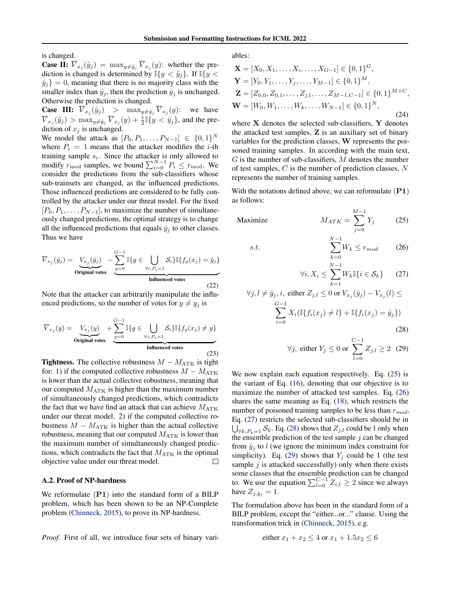is changed.

**Case II:**  $V_{x_j}(\hat{y}_j) = \max_{y \neq \hat{y}_j} V_{x_j}(y)$ : whether the prediction is changed is determined by  $\mathbb{I}\{y < \hat{y}_j\}$ . If  $\mathbb{I}\{y < \hat{y}_j\}$  $\hat{y}_j$ } = 0, meaning that there is no majority class with the smaller index than  $\hat{y}_i$ , then the prediction  $\hat{y}_i$  is unchanged. Otherwise the prediction is changed.

**Case III:**  $\overline{V}_{x_j}(\hat{y}_j)$  >  $\max_{y \neq \hat{y}_j} \overline{V}_{x_j}(y)$ : we have  $\overline{V}_{x_j}(\hat{y}_j) > \max_{y \neq \hat{y}_j} \overline{V}_{x_j}(y) + \frac{1}{2} \mathbb{I} \{y < \hat{y}_j\}$ , and the prediction of  $x_i$  is unchanged.

We model the attack as  $[P_0, P_1, \ldots, P_{N-1}] \in \{0, 1\}^N$ where  $P_i = 1$  means that the attacker modifies the *i*-th training sample  $s_i$ . Since the attacker is only allowed to modify  $r_{\text{mod}}$  samples, we bound  $\sum_{i=0}^{N-1} P_i \leq r_{\text{mod}}$ . We consider the predictions from the sub-classifiers whose sub-trainsets are changed, as the influenced predictions. Those influenced predictions are considered to be fully controlled by the attacker under our threat model. For the fixed  $[P_0, P_1, \ldots, P_{N-1}]$ , to maximize the number of simultaneously changed predictions, the optimal strategy is to change all the influenced predictions that equals  $\hat{y}_i$  to other classes. Thus we have

$$
\overline{V}_{x_j}(\hat{y}_j) = \underbrace{V_{x_j}(\hat{y}_j)}_{\text{Original votes}} - \underbrace{\sum_{g=0}^{G-1} \mathbb{I}\{g \in \bigcup_{\forall i, P_i = 1} \mathcal{S}_i\} \mathbb{I}\{f_g(x_j) = \hat{y}_j\}}_{\text{Infuenced votes}}
$$
\n(22)

Note that the attacker can arbitrarily manipulate the influenced predictions, so the number of votes for  $y \neq y_j$  is

$$
\overline{V}_{x_j}(y) = \underbrace{V_{x_j}(y)}_{\text{Original votes}} + \underbrace{\sum_{g=0}^{G-1} \mathbb{I}\{g \in \bigcup_{\forall i, P_i=1} \mathcal{S}_i\} \mathbb{I}\{f_g(x_j) \neq y\}}_{\text{Influenced votes}}
$$
\n(23)

**Tightness.** The collective robustness  $M - M_{\text{ATK}}$  is tight for: 1) if the computed collective robustness  $M - M_{\text{ATK}}$ is lower than the actual collective robustness, meaning that our computed  $M_{\text{ATK}}$  is higher than the maximum number of simultaneously changed predictions, which contradicts the fact that we have find an attack that can achieve  $M_{\text{ATK}}$ under our threat model. 2) if the computed collective robustness  $M - M_{\text{ATK}}$  is higher than the actual collective robustness, meaning that our computed  $M_{\text{ATK}}$  is lower than the maximum number of simultaneously changed predictions, which contradicts the fact that  $M_{\text{ATK}}$  is the optimal objective value under our threat model.  $\Box$ 

# <span id="page-10-0"></span>A.2. Proof of NP-hardness

We reformulate  $(PI)$  into the standard form of a BILP problem, which has been shown to be an NP-Complete problem [\(Chinneck,](#page-8-22) [2015\)](#page-8-22), to prove its NP-hardness.

*Proof.* First of all, we introduce four sets of binary vari-

ables:

s.t.

$$
\mathbf{X} = [X_0, X_1, \dots, X_i, \dots, X_{G-1}] \in \{0, 1\}^G,
$$
  
\n
$$
\mathbf{Y} = [Y_0, Y_1, \dots, Y_j, \dots, Y_{M-1}] \in \{0, 1\}^M,
$$
  
\n
$$
\mathbf{Z} = [Z_{0,0}, Z_{0,1}, \dots, Z_{j,l}, \dots, Z_{M-1,C-1}] \in \{0, 1\}^{M \times C},
$$
  
\n
$$
\mathbf{W} = [W_0, W_1, \dots, W_k, \dots, W_{N-1}] \in \{0, 1\}^N,
$$
\n(24)

where  $X$  denotes the selected sub-classifiers,  $Y$  denotes the attacked test samples, Z is an auxiliary set of binary variables for the prediction classes, W represents the poisoned training samples. In according with the main text,  $G$  is the number of sub-classifiers,  $M$  denotes the number of test samples, C is the number of prediction classes, N represents the number of training samples.

With the notations defined above, we can reformulate  $(P1)$ as follows:

$$
\text{Maximize} \qquad \qquad M_{ATK} = \sum_{j=0}^{M-1} Y_j \qquad (25)
$$

$$
\sum_{k=0}^{N-1} W_k \le r_{mod} \qquad (26)
$$

<span id="page-10-3"></span><span id="page-10-2"></span><span id="page-10-1"></span>
$$
\forall i, X_i \le \sum_{k=1}^{N-1} W_k \mathbb{I}\{i \in \mathcal{S}_k\} \qquad (27)
$$

$$
\forall j, l \neq \hat{y}_j, i, \text{ either } Z_{j,l} \le 0 \text{ or } V_{x_j}(\hat{y}_j) - V_{x_j}(l) \le
$$
  

$$
\sum_{i=0}^{G-1} X_i (\mathbb{I}\{f_i(x_j) \ne l\} + \mathbb{I}\{f_i(x_j) = \hat{y}_j\})
$$
(28)

<span id="page-10-5"></span><span id="page-10-4"></span>
$$
\forall j, \text{ either } Y_j \le 0 \text{ or } \sum_{l=0}^{C-1} Z_{j,l} \ge 2 \quad (29)
$$

We now explain each equation respectively. Eq.  $(25)$  is the variant of Eq. [\(16\)](#page-9-11), denoting that our objective is to maximize the number of attacked test samples. Eq. [\(26\)](#page-10-2) shares the same meaning as Eq. [\(18\)](#page-9-12), which restricts the number of poisoned training samples to be less than  $r_{mod}$ . Eq. [\(27\)](#page-10-3) restricts the selected sub-classifiers should be in  $\bigcup_{\forall k, P_k = 1} \mathcal{S}_k$ . Eq. [\(28\)](#page-10-4) shows that  $Z_{j,l}$  could be 1 only when the ensemble prediction of the test sample  $j$  can be changed from  $\hat{y}_i$  to l (we ignore the minimum index constraint for simplicity). Eq. [\(29\)](#page-10-5) shows that  $Y_i$  could be 1 (the test sample  $j$  is attacked successfully) only when there exists some classes that the ensemble prediction can be changed to. We use the equation  $\sum_{l=0}^{C-1} Z_{i,l} \geq 2$  since we always have  $Z_{j, \hat{y}_j} = 1$ .

The formulation above has been in the standard form of a BILP problem, except the "either...or..." clause. Using the transformation trick in [\(Chinneck,](#page-8-22) [2015\)](#page-8-22), e.g.

either 
$$
x_1 + x_2 \le 4
$$
 or  $x_1 + 1.5x_2 \le 6$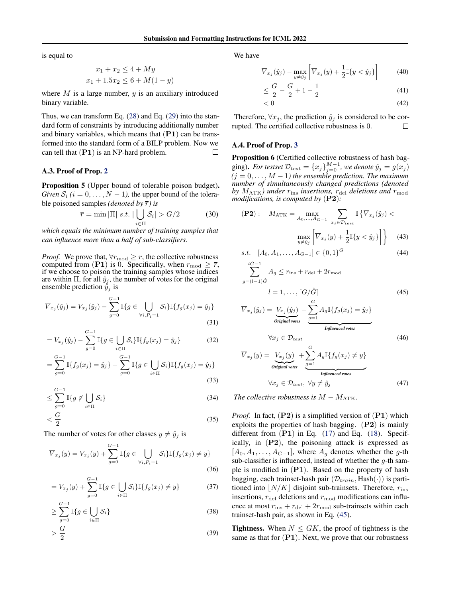is equal to

$$
x_1 + x_2 \le 4 + My
$$
  

$$
x_1 + 1.5x_2 \le 6 + M(1 - y)
$$

where  $M$  is a large number,  $y$  is an auxiliary introduced binary variable.

Thus, we can transform Eq. [\(28\)](#page-10-4) and Eq. [\(29\)](#page-10-5) into the standard form of constraints by introducing additionally number and binary variables, which means that  $(PI)$  can be transformed into the standard form of a BILP problem. Now we can tell that  $(PI)$  is an NP-hard problem.  $\Box$ 

### A.3. Proof of Prop. [2](#page-3-1)

Proposition 5 (Upper bound of tolerable poison budget). *Given*  $S_i$  ( $i = 0, \ldots, N - 1$ ), the upper bound of the tolerable poisoned samples *(denoted by*  $\overline{r}$ *)* is

$$
\overline{r} = \min |\Pi| \ s.t. \ |\bigcup_{i \in \Pi} \mathcal{S}_i| > \frac{G}{2} \tag{30}
$$

*which equals the minimum number of training samples that can influence more than a half of sub-classifiers.*

*Proof.* We prove that,  $\forall r_{\text{mod}} \geq \overline{r}$ , the collective robustness computed from (P1) is 0. Specifically, when  $r_{\text{mod}} \geq \overline{r}$ , if we choose to poison the training samples whose indices are within  $\Pi$ , for all  $\hat{y}_j$ , the number of votes for the original ensemble prediction  $\hat{y}_j$  is

$$
\overline{V}_{x_j}(\hat{y}_j) = V_{x_j}(\hat{y}_j) - \sum_{g=0}^{G-1} \mathbb{I}\{g \in \bigcup_{\forall i, P_i = 1} \mathcal{S}_i\} \mathbb{I}\{f_g(x_j) = \hat{y}_j\}
$$
\n(31)

$$
= V_{x_j}(\hat{y}_j) - \sum_{g=0}^{G-1} \mathbb{I}\{g \in \bigcup_{i \in \Pi} \mathcal{S}_i\} \mathbb{I}\{f_g(x_j) = \hat{y}_j\}
$$
(32)

$$
= \sum_{g=0}^{G-1} \mathbb{I}\{f_g(x_j) = \hat{y}_j\} - \sum_{g=0}^{G-1} \mathbb{I}\{g \in \bigcup_{i \in \Pi} \mathcal{S}_i\} \mathbb{I}\{f_g(x_j) = \hat{y}_j\}
$$
(33)

$$
\leq \sum_{i=0}^{G-1} \mathbb{I}\{g \notin \bigcup_{i \in \Pi} \mathcal{S}_i\} \tag{34}
$$

$$
\begin{aligned}\n &=0 & i \in \Pi \\
&< \frac{G}{2}\n \end{aligned}\n \tag{35}
$$

The number of votes for other classes  $y \neq \hat{y}_i$  is

$$
\overline{V}_{x_j}(y) = V_{x_j}(y) + \sum_{g=0}^{G-1} \mathbb{I}\{g \in \bigcup_{\forall i, P_i = 1} \mathcal{S}_i\} \mathbb{I}\{f_g(x_j) \neq y\}
$$
\n(36)

$$
= V_{x_j}(y) + \sum_{g=0}^{G-1} \mathbb{I}\{g \in \bigcup_{i \in \Pi} \mathcal{S}_i\} \mathbb{I}\{f_g(x_j) \neq y\}
$$
(37)

$$
\geq \sum_{g=0}^{G-1} \mathbb{I}\{g \in \bigcup_{i \in \Pi} \mathcal{S}_i\} \tag{38}
$$

$$
>\frac{G}{2}\tag{39}
$$

We have

$$
\overline{V}_{x_j}(\hat{y}_j) - \max_{y \neq \hat{y}_j} \left[ \overline{V}_{x_j}(y) + \frac{1}{2} \mathbb{I}\{y < \hat{y}_j\} \right] \tag{40}
$$

$$
\leq \frac{G}{2} - \frac{G}{2} + 1 - \frac{1}{2} \tag{41}
$$

$$
\langle 0 \rangle \tag{42}
$$

Therefore,  $\forall x_j$ , the prediction  $\hat{y}_j$  is considered to be corrupted. The certified collective robustness is 0.  $\Box$ 

#### A.4. Proof of Prop. [3](#page-4-6)

Proposition 6 (Certified collective robustness of hash bagging). *For testset*  $\mathcal{D}_{test} = \{x_j\}_{j=0}^{M-1}$ , we denote  $\hat{y}_j = g(x_j)$  $(j = 0, \ldots, M - 1)$  the ensemble prediction. The maximum *number of simultaneously changed predictions (denoted by*  $M_{\text{ATK}}$ *)* under  $r_{\text{ins}}$  insertions,  $r_{\text{del}}$  deletions and  $r_{\text{mod}}$ *modifications, is computed by* (P2)*:*

$$
\textbf{(P2)}: \quad M_{\text{ATK}} = \max_{A_0, \dots, A_{G-1}} \sum_{\substack{x_j \in \mathcal{D}_{test}}} \mathbb{I}\left\{\overline{V}_{x_j}(\hat{y}_j) < \max_{y \neq \hat{y}_j} \left\lfloor \overline{V}_{x_j}(y) + \frac{1}{2} \mathbb{I}\left\{y < \hat{y}_j\right\} \right\rfloor \right\} \tag{43}
$$

$$
s.t. \ [A_0, A_1, \dots, A_{G-1}] \in \{0, 1\}^G \tag{44}
$$

 $\sum^{l\hat{G}-1}$  $g=(l-1)\hat{G}$  $A_g \leq r_{\text{ins}} + r_{\text{del}} + 2r_{\text{mod}}$ 

<span id="page-11-1"></span><span id="page-11-0"></span>
$$
l = 1, \dots, \lceil G/\hat{G} \rceil \tag{45}
$$

$$
\overline{V}_{x_j}(\hat{y}_j) = \underbrace{V_{x_j}(\hat{y}_j)}_{\text{Original votes}} - \underbrace{\sum_{g=1}^{G} A_g \mathbb{I}\{f_g(x_j) = \hat{y}_j\}}_{\text{Influenced votes}}
$$
\n
$$
\forall x_j \in \mathcal{D}_{test} \tag{46}
$$

$$
\overline{V}_{x_j}(y) = \underbrace{V_{x_j}(y)}_{\text{Original votes}} + \underbrace{\sum_{g=1}^{G} A_g \mathbb{I}\{f_g(x_j) \neq y\}}_{\text{Influenced votes}}
$$
\n
$$
\forall x_j \in \mathcal{D}_{test}, \ \forall y \neq \hat{y}_j \tag{47}
$$

*The collective robustness is*  $M - M_{\text{ATK}}$ .

*Proof.* In fact,  $(P2)$  is a simplified version of  $(P1)$  which exploits the properties of hash bagging. (P2) is mainly different from  $(P1)$  in Eq.  $(17)$  and Eq.  $(18)$ . Specifically, in  $(P2)$ , the poisoning attack is expressed as  $[A_0, A_1, \ldots, A_{G-1}]$ , where  $A_g$  denotes whether the g-th sub-classifier is influenced, instead of whether the  $g$ -th sample is modified in (P1). Based on the property of hash bagging, each trainset-hash pair  $(\mathcal{D}_{train}, \text{Hash}(\cdot))$  is partitioned into  $\vert N/K \vert$  disjoint sub-trainsets. Therefore,  $r_{\rm ins}$ insertions,  $r_{\text{del}}$  deletions and  $r_{\text{mod}}$  modifications can influence at most  $r_{\text{ins}} + r_{\text{del}} + 2r_{\text{mod}}$  sub-trainsets within each trainset-hash pair, as shown in Eq. [\(45\)](#page-11-0).

**Tightness.** When  $N \leq GK$ , the proof of tightness is the same as that for  $(P1)$ . Next, we prove that our robustness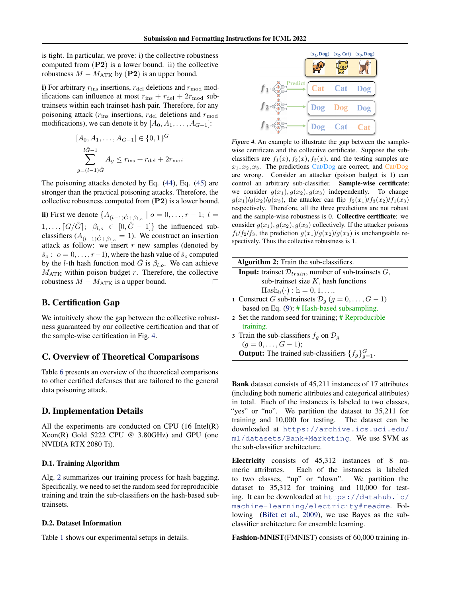is tight. In particular, we prove: i) the collective robustness computed from  $(P2)$  is a lower bound. ii) the collective robustness  $M - M_{\text{ATK}}$  by (P2) is an upper bound.

i) For arbitrary  $r_{\text{ins}}$  insertions,  $r_{\text{del}}$  deletions and  $r_{\text{mod}}$  modifications can influence at most  $r_{ins} + r_{del} + 2r_{mod}$  subtrainsets within each trainset-hash pair. Therefore, for any poisoning attack ( $r_{\text{ins}}$  insertions,  $r_{\text{del}}$  deletions and  $r_{\text{mod}}$ modifications), we can denote it by  $[A_0, A_1, \ldots, A_{G-1}]$ :

$$
[A_0, A_1, \dots, A_{G-1}] \in \{0, 1\}^G
$$
  

$$
\sum_{g=(l-1)\hat{G}}^{l\hat{G}-1} A_g \le r_{ins} + r_{\text{del}} + 2r_{\text{mod}}
$$

The poisoning attacks denoted by Eq. [\(44\)](#page-11-1), Eq. [\(45\)](#page-11-0) are stronger than the practical poisoning attacks. Therefore, the collective robustness computed from  $(P2)$  is a lower bound.

ii) First we denote  $\{A_{(l-1)\hat{G}+\beta_{l,o}} \mid o = 0, \ldots, r-1; l =$  $1, \ldots, \lceil G/\hat{G} \rceil; \; \; \beta_{l,o} \; \in \; [0,\hat{G}-1] \}$  the influenced subclassifiers ( $A_{(l-1)\hat{G}+\beta_{l,o}} = 1$ ). We construct an insertion attack as follow: we insert  $r$  new samples (denoted by  $\hat{s}_o : o = 0, \ldots, r-1$ , where the hash value of  $\hat{s}_o$  computed by the *l*-th hash function mod G is  $\beta_{l,o}$ . We can achieve  $M_{\text{ATK}}$  within poison budget r. Therefore, the collective robustness  $M - M_{\text{ATK}}$  is a upper bound. □

# B. Certification Gap

We intuitively show the gap between the collective robustness guaranteed by our collective certification and that of the sample-wise certification in Fig. [4.](#page-12-1)

# C. Overview of Theoretical Comparisons

Table [6](#page-13-2) presents an overview of the theoretical comparisons to other certified defenses that are tailored to the general data poisoning attack.

# <span id="page-12-0"></span>D. Implementation Details

All the experiments are conducted on CPU (16 Intel(R) Xeon(R) Gold 5222 CPU @ 3.80GHz) and GPU (one NVIDIA RTX 2080 Ti).

### D.1. Training Algorithm

Alg. [2](#page-12-2) summarizes our training process for hash bagging. Specifically, we need to set the random seed for reproducible training and train the sub-classifiers on the hash-based subtrainsets.

#### D.2. Dataset Information

Table [1](#page-5-0) shows our experimental setups in details.

<span id="page-12-1"></span>

Figure 4. An example to illustrate the gap between the samplewise certificate and the collective certificate. Suppose the subclassifiers are  $f_1(x)$ ,  $f_2(x)$ ,  $f_3(x)$ , and the testing samples are  $x_1, x_2, x_3$ . The predictions Cat/Dog are correct, and Cat/Dog are wrong. Consider an attacker (poison budget is 1) can control an arbitrary sub-classifier. Sample-wise certificate: we consider  $g(x_1), g(x_2), g(x_3)$  independently. To change  $g(x_1)/g(x_2)/g(x_3)$ , the attacker can flip  $f_2(x_1)/f_3(x_2)/f_1(x_3)$ respectively. Therefore, all the three predictions are not robust and the sample-wise robustness is 0. Collective certificate: we consider  $g(x_1), g(x_2), g(x_3)$  collectively. If the attacker poisons  $f_1/f_2/f_3$ , the prediction  $g(x_1)/g(x_2)/g(x_3)$  is unchangeable respectively. Thus the collective robustness is 1.

<span id="page-12-2"></span>

| <b>Algorithm 2:</b> Train the sub-classifiers.                               |
|------------------------------------------------------------------------------|
| <b>Input:</b> trainset $\mathcal{D}_{train}$ , number of sub-trainsets $G$ , |
| sub-trainset size $K$ , hash functions                                       |
| $\text{Hash}_{h}(\cdot) : h = 0, 1, \ldots$                                  |
| 1 Construct G sub-trainsets $\mathcal{D}_q$ $(g = 0, \ldots, G - 1)$         |
| based on Eq. $(9)$ ; # Hash-based subsampling.                               |
| 2 Set the random seed for training; # Reproducible                           |
| training.                                                                    |
| 3 Train the sub-classifiers $f_q$ on $\mathcal{D}_q$                         |
| $(g = 0, \ldots, G - 1);$                                                    |
| <b>Output:</b> The trained sub-classifiers $\{f_q\}_{q=1}^G$ .               |

Bank dataset consists of 45,211 instances of 17 attributes (including both numeric attributes and categorical attributes) in total. Each of the instances is labeled to two classes, "yes" or "no". We partition the dataset to 35,211 for training and 10,000 for testing. The dataset can be downloaded at [https://archive.ics.uci.edu/](https://archive.ics.uci.edu/ml/datasets/Bank+Marketing) [ml/datasets/Bank+Marketing](https://archive.ics.uci.edu/ml/datasets/Bank+Marketing). We use SVM as the sub-classifier architecture.

Electricity consists of 45,312 instances of 8 numeric attributes. Each of the instances is labeled to two classes, "up" or "down". We partition the dataset to 35,312 for training and 10,000 for testing. It can be downloaded at [https://datahub.io/](https://datahub.io/machine-learning/electricity#readme) [machine-learning/electricity#readme](https://datahub.io/machine-learning/electricity#readme). Following [\(Bifet et al.,](#page-8-23) [2009\)](#page-8-23), we use Bayes as the subclassifier architecture for ensemble learning.

Fashion-MNIST(FMNIST) consists of 60,000 training in-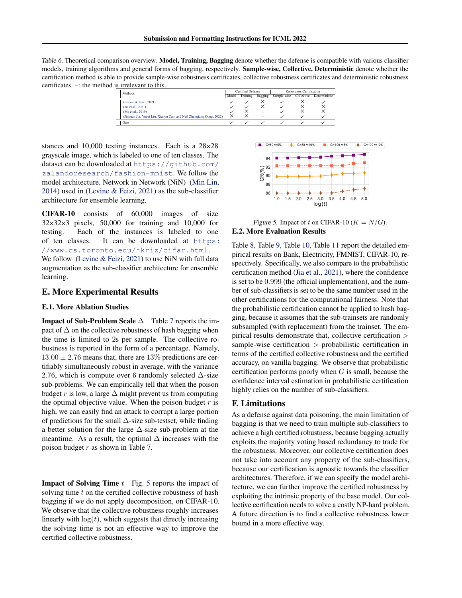<span id="page-13-2"></span>Table 6. Theoretical comparison overview. Model, Training, Bagging denote whether the defense is compatible with various classifier models, training algorithms and general forms of bagging, respectively. Sample-wise, Collective, Deterministic denote whether the certification method is able to provide sample-wise robustness certificates, collective robustness certificates and deterministic robustness certificates. –: the method is irrelevant to this.

| 19.1110101011100111101                                              |       |                          |                          |                          |            |               |  |
|---------------------------------------------------------------------|-------|--------------------------|--------------------------|--------------------------|------------|---------------|--|
| Methods                                                             |       | <b>Certified Defense</b> |                          | Robustness Certification |            |               |  |
|                                                                     | Model | Training                 | Bagging 1                | Sample-wise              | Collective | Deterministic |  |
| (Levine & Feizi, 2021)                                              |       |                          |                          |                          |            |               |  |
| (Jia et al., 2021)                                                  |       |                          |                          |                          |            |               |  |
| (Ma et al., 2019)                                                   |       |                          | $\overline{\phantom{a}}$ |                          |            |               |  |
| (Jinyuan Jia, Yupei Liu, Xiaoyu Cao, and Neil Zhenqiang Gong, 2022) |       |                          | $\overline{\phantom{a}}$ |                          |            |               |  |
| Ours                                                                |       |                          |                          |                          |            |               |  |

stances and 10,000 testing instances. Each is a 28×28 grayscale image, which is labeled to one of ten classes. The dataset can be downloaded at [https://github.com/](https://github.com/zalandoresearch/fashion-mnist) [zalandoresearch/fashion-mnist](https://github.com/zalandoresearch/fashion-mnist). We follow the model architecture, Network in Network (NiN) [\(Min Lin,](#page-8-20) [2014\)](#page-8-20) used in [\(Levine & Feizi,](#page-8-2) [2021\)](#page-8-2) as the sub-classifier architecture for ensemble learning.

CIFAR-10 consists of 60,000 images of size 32×32×3 pixels, 50,000 for training and 10,000 for testing. Each of the instances is labeled to one of ten classes. It can be downloaded at [https:](https://www.cs.toronto.edu/~kriz/cifar.html) [//www.cs.toronto.edu/˜kriz/cifar.html](https://www.cs.toronto.edu/~kriz/cifar.html).

We follow [\(Levine & Feizi,](#page-8-2) [2021\)](#page-8-2) to use NiN with full data augmentation as the sub-classifier architecture for ensemble learning.

# E. More Experimental Results

# <span id="page-13-1"></span>E.1. More Ablation Studies

**Impact of Sub-Problem Scale**  $\Delta$  Table [7](#page-14-0) reports the impact of  $\Delta$  on the collective robustness of hash bagging when the time is limited to 2s per sample. The collective robustness is reported in the form of a percentage. Namely,  $13.00 \pm 2.76$  means that, there are  $13\%$  predictions are certifiably simultaneously robust in average, with the variance 2.76, which is compute over 6 randomly selected  $\Delta$ -size sub-problems. We can empirically tell that when the poison budget r is low, a large  $\Delta$  might prevent us from computing the optimal objective value. When the poison budget  $r$  is high, we can easily find an attack to corrupt a large portion of predictions for the small ∆-size sub-testset, while finding a better solution for the large ∆-size sub-problem at the meantime. As a result, the optimal  $\Delta$  increases with the poison budget  $r$  as shown in Table [7.](#page-14-0)

**Impact of Solving Time**  $t$  Fig. [5](#page-13-3) reports the impact of solving time t on the certified collective robustness of hash bagging if we do not apply decomposition, on CIFAR-10. We observe that the collective robustness roughly increases linearly with  $log(t)$ , which suggests that directly increasing the solving time is not an effective way to improve the certified collective robustness.

<span id="page-13-3"></span>

<span id="page-13-0"></span>Figure 5. Impact of t on CIFAR-10 ( $K = N/G$ ). E.2. More Evaluation Results

Table [8,](#page-15-0) Table [9,](#page-16-0) Table [10,](#page-17-0) Table [11](#page-18-0) report the detailed empirical results on Bank, Electricity, FMNIST, CIFAR-10, respectively. Specifically, we also compare to the probabilistic certification method [\(Jia et al.,](#page-8-3) [2021\)](#page-8-3), where the confidence is set to be 0.999 (the official implementation), and the number of sub-classifiers is set to be the same number used in the other certifications for the computational fairness. Note that the probabilistic certification cannot be applied to hash bagging, because it assumes that the sub-trainsets are randomly subsampled (with replacement) from the trainset. The empirical results demonstrate that, collective certification > sample-wise certification > probabilistic certification in terms of the certified collective robustness and the certified accuracy, on vanilla bagging. We observe that probabilistic certification performs poorly when  $G$  is small, because the confidence interval estimation in probabilistic certification highly relies on the number of sub-classifiers.

# F. Limitations

As a defense against data poisoning, the main limitation of bagging is that we need to train multiple sub-classifiers to achieve a high certified robustness, because bagging actually exploits the majority voting based redundancy to trade for the robustness. Moreover, our collective certification does not take into account any property of the sub-classifiers, because our certification is agnostic towards the classifier architectures. Therefore, if we can specify the model architecture, we can further improve the certified robustness by exploiting the intrinsic property of the base model. Our collective certification needs to solve a costly NP-hard problem. A future direction is to find a collective robustness lower bound in a more effective way.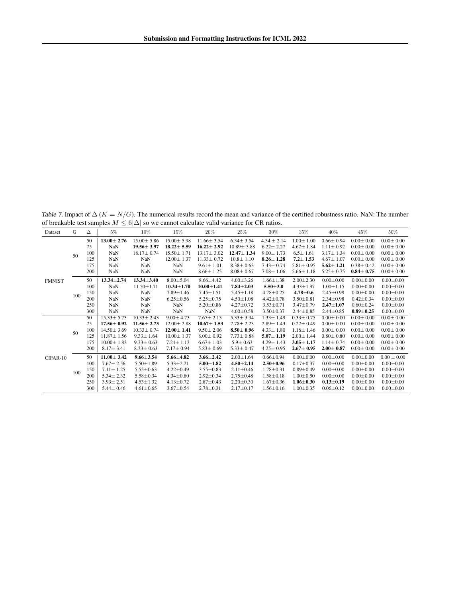<span id="page-14-0"></span>Table 7. Impact of  $\Delta$  ( $K = N/G$ ). The numerical results record the mean and variance of the certified robustness ratio. NaN: The number of breakable test samples  $M \leq 6|\Delta|$  so we cannot calculate valid variance for CR ratios.

| Dataset       | G   | Δ   | $5\%$            | 10%              | 15%              | 20%              | 25%              | $30\%$          | $35\%$          | 40%             | 45%             | 50%             |
|---------------|-----|-----|------------------|------------------|------------------|------------------|------------------|-----------------|-----------------|-----------------|-----------------|-----------------|
|               |     | 50  | $13.00 \pm 2.76$ | $15.00 \pm 5.86$ | $15.00 \pm 5.98$ | $11.66 \pm 3.54$ | $6.34 \pm 3.54$  | $4.34 \pm 2.14$ | $1.00 \pm 1.00$ | $0.66 \pm 0.94$ | $0.00 \pm 0.00$ | $0.00 \pm 0.00$ |
| <b>FMNIST</b> |     | 75  | NaN              | $19.56 \pm 3.97$ | $18.22 \pm 5.59$ | $16.22 \pm 2.92$ | $10.89 \pm 3.88$ | $6.22 \pm 2.27$ | $4.67 \pm 1.84$ | $1.11 \pm 0.92$ | $0.00 \pm 0.00$ | $0.00 \pm 0.00$ |
|               | 50  | 100 | NaN              | $18.17 \pm 0.74$ | $15.50 \pm 1.71$ | $13.17 \pm 3.02$ | $12.47 \pm 1.34$ | $9.00 \pm 1.73$ | $6.5 \pm 1.61$  | $3.17 \pm 1.34$ | $0.00 \pm 0.00$ | $0.00 \pm 0.00$ |
|               |     | 125 | NaN              | NaN              | $12.00 \pm 1.37$ | $11.33 \pm 0.72$ | $10.8 \pm 1.10$  | $8.26 \pm 1.28$ | $7.2 \pm 1.53$  | $4.67 \pm 1.07$ | $0.00 \pm 0.00$ | $0.00 \pm 0.00$ |
|               |     | 175 | NaN              | NaN              | NaN              | $9.61 \pm 1.01$  | $8.38 \pm 0.63$  | $7.43 \pm 0.74$ | $5.81 \pm 0.95$ | $5.62 \pm 1.21$ | $0.38 \pm 0.42$ | $0.00 \pm 0.00$ |
|               |     | 200 | NaN              | NaN              | NaN              | $8.66 \pm 1.25$  | $8.08 \pm 0.67$  | $7.08 \pm 1.06$ | $5.66 \pm 1.18$ | $5.25 \pm 0.75$ | $0.84 \pm 0.75$ | $0.00 \pm 0.00$ |
|               |     | 50  | $13.34 \pm 2.74$ | $13.34 \pm 3.40$ | $8.00 + 5.04$    | $8.66 \pm 4.42$  | $4.00 \pm 3.26$  | $1.66 \pm 1.38$ | $2.00 \pm 2.30$ | $0.00 \pm 0.00$ | $0.00 \pm 0.00$ | $0.00 \pm 0.00$ |
|               |     | 100 | NaN              | $11.50 \pm 1.71$ | $10.34 \pm 1.70$ | $10.00 \pm 1.41$ | $7.84 + 2.03$    | $5.50 + 3.0$    | $4.33 \pm 1.97$ | $1.00 \pm 1.15$ | $0.00 \pm 0.00$ | $0.00 \pm 0.00$ |
|               | 100 | 150 | NaN              | NaN              | $7.89 \pm 1.46$  | $7.45 \pm 1.51$  | $5.45 \pm 1.18$  | $4.78 \pm 0.25$ | $4.78 \pm 0.6$  | $2.45 \pm 0.99$ | $0.00 \pm 0.00$ | $0.00 \pm 0.00$ |
|               |     | 200 | NaN              | NaN              | $6.25 \pm 0.56$  | $5.25 \pm 0.75$  | $4.50 \pm 1.08$  | $4.42 \pm 0.78$ | $3.50 \pm 0.81$ | $2.34 \pm 0.98$ | $0.42 \pm 0.34$ | $0.00 \pm 0.00$ |
|               |     | 250 | NaN              | <b>NaN</b>       | NaN              | $5.20 \pm 0.86$  | $4.27 \pm 0.72$  | $3.53 \pm 0.71$ | $3.47 \pm 0.79$ | $2.47 + 1.07$   | $0.60 \pm 0.24$ | $0.00 \pm 0.00$ |
|               |     | 300 | NaN              | NaN              | NaN              | NaN              | $4.00 \pm 0.58$  | $3.50 \pm 0.37$ | $2.44 \pm 0.85$ | $2.44 \pm 0.85$ | $0.89 \pm 0.25$ | $0.00 \pm 0.00$ |
|               |     | 50  | $15.33 \pm 5.73$ | $10.33 \pm 2.43$ | $9.00 \pm 4.73$  | $7.67 \pm 2.13$  | $5.33 \pm 3.94$  | $1.33 \pm 1.49$ | $0.33 \pm 0.75$ | $0.00 \pm 0.00$ | $0.00 \pm 0.00$ | $0.00 \pm 0.00$ |
|               |     | 75  | $17.56 \pm 0.92$ | $11.56 \pm 2.73$ | $12.00 \pm 2.88$ | $10.67 \pm 1.53$ | $7.78 \pm 2.23$  | $2.89 \pm 1.43$ | $0.22 \pm 0.49$ | $0.00 \pm 0.00$ | $0.00 \pm 0.00$ | $0.00 \pm 0.00$ |
|               | 50  | 100 | $14.50 \pm 3.69$ | $10.33 \pm 0.74$ | $12.00 \pm 1.41$ | $9.50 \pm 2.06$  | $8.50 \pm 0.96$  | $4.33 \pm 1.80$ | $1.16 \pm 1.46$ | $0.00 \pm 0.00$ | $0.00 \pm 0.00$ | $0.00 \pm 0.00$ |
|               |     | 125 | $11.87 \pm 1.56$ | $9.33 \pm 1.64$  | $10.00 \pm 1.37$ | $8.00 \pm 0.92$  | $7.73 \pm 0.88$  | $5.07 \pm 1.19$ | $2.00 \pm 1.44$ | $0.80 \pm 0.80$ | $0.00 \pm 0.00$ | $0.00 \pm 0.00$ |
|               |     | 175 | $10.00 \pm 1.83$ | $9.33 \pm 0.63$  | $7.24 \pm 1.13$  | $6.67 \pm 1.03$  | $5.9 \pm 0.63$   | $4.29 \pm 1.43$ | $3.05 \pm 1.17$ | $1.14 \pm 0.74$ | $0.00 \pm 0.00$ | $0.00 \pm 0.00$ |
|               |     | 200 | $8.17 \pm 3.41$  | $8.33 \pm 0.63$  | $7.17 \pm 0.94$  | $5.83 \pm 0.69$  | $5.33 \pm 0.47$  | $4.25 \pm 0.95$ | $2.67 \pm 0.95$ | $2.00 \pm 0.87$ | $0.00 \pm 0.00$ | $0.00 \pm 0.00$ |
| CIFAR-10      |     | 50  | $11.00 \pm 3.42$ | $9.66 \pm 3.54$  | $5.66 \pm 4.82$  | $3.66 \pm 2.42$  | $2.00 \pm 1.64$  | $0.66 \pm 0.94$ | $0.00 \pm 0.00$ | $0.00 \pm 0.00$ | $0.00 \pm 0.00$ | $0.00 \pm 0.00$ |
|               |     | 100 | $7.67 \pm 2.56$  | $5.50 \pm 1.89$  | $5.33 \pm 2.21$  | $5.00 \pm 1.82$  | $4.50 \pm 2.14$  | $2.50 \pm 0.96$ | $0.17 + 0.37$   | $0.00 \pm 0.00$ | $0.00 \pm 0.00$ | $0.00 \pm 0.00$ |
|               | 100 | 150 | $7.11 \pm 1.25$  | $5.55 \pm 0.63$  | $4.22 \pm 0.49$  | $3.55 \pm 0.83$  | $2.11 \pm 0.46$  | $1.78 \pm 0.31$ | $0.89 \pm 0.49$ | $0.00 \pm 0.00$ | $0.00 \pm 0.00$ | $0.00 \pm 0.00$ |
|               |     | 200 | $5.34 \pm 2.32$  | $5.58 \pm 0.34$  | $4.34 \pm 0.80$  | $2.92 \pm 0.34$  | $2.75 \pm 0.48$  | $1.58 \pm 0.18$ | $1.00 \pm 0.50$ | $0.00 \pm 0.00$ | $0.00 \pm 0.00$ | $0.00 \pm 0.00$ |
|               |     | 250 | $3.93 \pm 2.51$  | $4.53 \pm 1.32$  | $4.13 \pm 0.72$  | $2.87 \pm 0.43$  | $2.20 \pm 0.30$  | $1.67 \pm 0.36$ | $1.06 \pm 0.30$ | $0.13 \pm 0.19$ | $0.00 \pm 0.00$ | $0.00 \pm 0.00$ |
|               |     | 300 | $5.44 \pm 0.46$  | $4.61 \pm 0.65$  | $3.67 \pm 0.54$  | $2.78 \pm 0.31$  | $2.17 \pm 0.17$  | $1.56 \pm 0.16$ | $1.00 \pm 0.35$ | $0.06 \pm 0.12$ | $0.00 \pm 0.00$ | $0.00 \pm 0.00$ |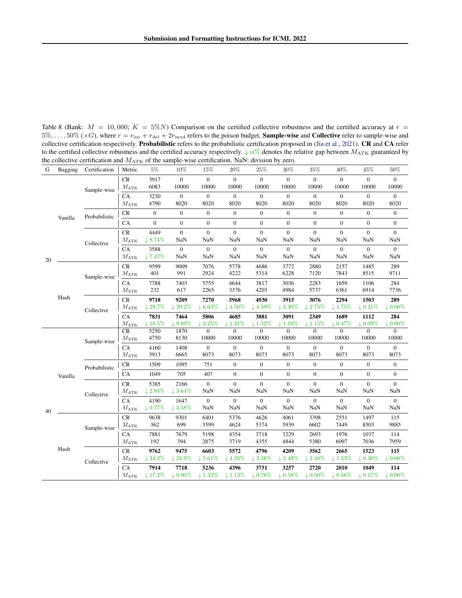<span id="page-15-0"></span>Table 8. (Bank:  $M = 10,000$ ;  $K = 5\%$ N) Comparison on the certified collective robustness and the certified accuracy at  $r =$  $5\%, \ldots, 50\%$  ( $\times G$ ), where  $r = r_{\rm ins} + r_{\rm del} + 2r_{\rm mod}$  refers to the poison budget. **Sample-wise** and **Collective** refer to sample-wise and collective certification respectively. Probabilistic refers to the probabilistic certification proposed in [\(Jia et al.,](#page-8-3) [2021\)](#page-8-3). CR and CA refer to the certified collective robustness and the certified accuracy respectively.  $\downarrow \alpha\%$  denotes the relative gap between  $M_{\text{ATK}}$  guaranteed by the collective certification and  $M_{\rm{ATK}}$  of the sample-wise certification. NaN: division by zero.

| G  | Bagging | Certification | Metric                           | $5\%$                        | 10%                            | 15%                         | 20%                            | 25%                            | 30%                          | 35%                            | 40%                         | 45%                            | 50%                        |
|----|---------|---------------|----------------------------------|------------------------------|--------------------------------|-----------------------------|--------------------------------|--------------------------------|------------------------------|--------------------------------|-----------------------------|--------------------------------|----------------------------|
|    |         | Sample-wise   | $\rm CR$<br>$M_{\rm ATK}$        | 3917<br>6083                 | $\overline{0}$<br>10000        | $\overline{0}$<br>10000     | $\overline{0}$<br>10000        | $\overline{0}$<br>10000        | $\Omega$<br>10000            | $\mathbf{0}$<br>10000          | $\mathbf{0}$<br>10000       | $\overline{0}$<br>10000        | $\Omega$<br>10000          |
|    |         |               | CA<br>$M_{\rm ATK}$              | 3230<br>4790                 | $\boldsymbol{0}$<br>8020       | $\mathbf{0}$<br>8020        | $\boldsymbol{0}$<br>8020       | $\boldsymbol{0}$<br>8020       | $\overline{0}$<br>8020       | $\overline{0}$<br>8020         | $\boldsymbol{0}$<br>8020    | $\boldsymbol{0}$<br>8020       | $\overline{0}$<br>8020     |
|    | Vanilla | Probabilistic | CR                               | $\boldsymbol{0}$             | $\mathbf{0}$                   | $\mathbf{0}$                | $\boldsymbol{0}$               | $\overline{0}$                 | $\boldsymbol{0}$             | $\mathbf{0}$                   | $\mathbf{0}$                | $\mathbf{0}$                   | $\boldsymbol{0}$           |
|    |         |               | CA                               | $\overline{0}$               | $\boldsymbol{0}$               | $\mathbf{0}$                | $\mathbf{0}$                   | $\mathbf{0}$                   | $\boldsymbol{0}$             | $\overline{0}$                 | $\overline{0}$              | $\mathbf{0}$                   | $\boldsymbol{0}$           |
|    |         | Collective    | CR<br>$M_{\rm{ATK}}$             | 4449<br>$18.74\%$            | $\boldsymbol{0}$<br><b>NaN</b> | $\boldsymbol{0}$<br>NaN     | $\boldsymbol{0}$<br>NaN        | $\boldsymbol{0}$<br><b>NaN</b> | $\boldsymbol{0}$<br>NaN      | $\boldsymbol{0}$<br><b>NaN</b> | $\mathbf{0}$<br>NaN         | $\boldsymbol{0}$<br>NaN        | $\boldsymbol{0}$<br>NaN    |
| 20 |         |               | CA<br>$M_{\rm ATK}$              | 3588<br>$\downarrow$ 7.47%   | $\boldsymbol{0}$<br><b>NaN</b> | $\mathbf{0}$<br><b>NaN</b>  | $\boldsymbol{0}$<br><b>NaN</b> | $\boldsymbol{0}$<br>NaN        | $\boldsymbol{0}$<br>NaN      | $\boldsymbol{0}$<br><b>NaN</b> | $\mathbf{0}$<br>NaN         | $\boldsymbol{0}$<br><b>NaN</b> | $\boldsymbol{0}$<br>NaN    |
|    |         | Sample-wise   | $\rm CR$<br>$M_{\rm{ATK}}$       | 9599<br>401                  | 9009<br>991                    | 7076<br>2924                | 5778<br>4222                   | 4686<br>5314                   | 3772<br>6228                 | 2880<br>7120                   | 2157<br>7843                | 1485<br>8515                   | 289<br>9711                |
|    |         |               | CA<br>$M_{\rm ATK}$              | 7788<br>232                  | 7403<br>617                    | 5755<br>2265                | 4644<br>3376                   | 3817<br>4203                   | 3036<br>4984                 | 2283<br>5737                   | 1659<br>6361                | 1106<br>6914                   | 284<br>7736                |
|    | Hash    | Collective    | <b>CR</b><br>$M_{\rm ATK}$       | 9718<br>$\downarrow$ 29.7%   | 9209<br>$~120.2\%$             | 7270<br>$\downarrow 6.63\%$ | 5968<br>$\downarrow$ 4.50%     | 4930<br>$\downarrow$ 4.59%     | 3915<br>$\downarrow$ 2.30%   | 3076<br>12.75%                 | 2294<br>$\downarrow$ 1.75%  | 1503<br>$~\downarrow 0.21\%$   | 289<br>$\downarrow 0.00\%$ |
|    |         |               | CA<br>$M_{\rm{AT\underline{K}}}$ | 7831<br>$~\downarrow 18.5\%$ | 7464<br>$19.89\%$              | 5806<br>$\downarrow$ 2.25%  | 4685<br>$\downarrow$ 1.21%     | 3881<br>$\downarrow$ 1.52%     | 3091<br>$\downarrow$ 1.10%   | 2349<br>$\downarrow$ 1.15%     | 1689<br>$\downarrow$ 0.47%  | 1112<br>$\downarrow 0.09\%$    | 284<br>$\downarrow 0.00\%$ |
|    |         | Sample-wise   | CR<br>$M_{\rm ATK}$              | 5250<br>4750                 | 1870<br>8130                   | $\mathbf{0}$<br>10000       | $\boldsymbol{0}$<br>10000      | $\mathbf{0}$<br>10000          | $\theta$<br>10000            | $\mathbf{0}$<br>10000          | $\overline{0}$<br>10000     | $\mathbf{0}$<br>10000          | $\Omega$<br>10000          |
|    |         |               | CA<br>$M_{\rm ATK}$              | 4160<br>3913                 | 1408<br>6665                   | $\mathbf{0}$<br>8073        | $\boldsymbol{0}$<br>8073       | $\boldsymbol{0}$<br>8073       | $\boldsymbol{0}$<br>8073     | $\boldsymbol{0}$<br>8073       | $\mathbf{0}$<br>8073        | $\boldsymbol{0}$<br>8073       | $\mathbf{0}$<br>8073       |
|    |         | Probabilistic | CR                               | 1509                         | 1095                           | 751                         | $\boldsymbol{0}$               | $\boldsymbol{0}$               | $\boldsymbol{0}$             | $\boldsymbol{0}$               | $\mathbf{0}$                | $\boldsymbol{0}$               | $\boldsymbol{0}$           |
|    | Vanilla |               | CA                               | 1049                         | 705                            | 407                         | $\overline{0}$                 | $\mathbf{0}$                   | $\overline{0}$               | $\mathbf{0}$                   | $\mathbf{0}$                | $\mathbf{0}$                   | $\overline{0}$             |
|    |         | Collective    | CR<br>$M_{\rm ATK}$              | 5385<br>$12.84\%$            | 2166<br>$13.64\%$              | $\overline{0}$<br>NaN       | $\boldsymbol{0}$<br>NaN        | $\overline{0}$<br><b>NaN</b>   | $\overline{0}$<br><b>NaN</b> | $\mathbf{0}$<br><b>NaN</b>     | $\overline{0}$<br>NaN       | $\boldsymbol{0}$<br>NaN        | $\overline{0}$<br>NaN      |
| 40 |         |               | CA<br>$M_{\rm ATK}$              | 4190<br>$~\downarrow 0.77\%$ | 1647<br>$\downarrow$ 3.58%     | $\overline{0}$<br>NaN       | $\boldsymbol{0}$<br>NaN        | $\mathbf{0}$<br>NaN            | $\boldsymbol{0}$<br>NaN      | $\mathbf{0}$<br>NaN            | $\mathbf{0}$<br>NaN         | $\boldsymbol{0}$<br>NaN        | $\boldsymbol{0}$<br>NaN    |
|    |         | Sample-wise   | $\mathrm{CR}$<br>$M_{\rm ATK}$   | 9638<br>362                  | 9301<br>699                    | 6401<br>3599                | 5376<br>4624                   | 4626<br>5374                   | 4061<br>5939                 | 3398<br>6602                   | 2551<br>7449                | 1497<br>8503                   | 115<br>9885                |
|    |         |               | CA<br>$M_{\rm ATK}$              | 7881<br>192                  | 7679<br>394                    | 5198<br>2875                | 4354<br>3719                   | 3718<br>4355                   | 3229<br>4844                 | 2693<br>5380                   | 1976<br>6097                | 1037<br>7036                   | 114<br>7959                |
|    | Hash    | Collective    | CR<br>$M_{\rm ATK}$              | 9762<br>$~\downarrow$ 34.2%  | 9475<br>$\downarrow$ 24.9%     | 6603<br>$\downarrow 5.61\%$ | 5572<br>$\downarrow$ 4.24%     | 4796<br>$\downarrow$ 3.16%     | 4209<br>$12.49\%$            | 3562<br>$12.48\%$              | 2665<br>$\downarrow$ 1.53%  | 1523<br>$\downarrow 0.30\%$    | 115<br>$\downarrow 0.00\%$ |
|    |         |               | CA<br>$M_{\rm{ATK}}$             | 7914<br>$~\downarrow$ 17.2%  | 7718<br>$\downarrow$ 9.90%     | 5236<br>$\downarrow$ 1.32%  | 4396<br>$\downarrow$ 1.13%     | 3751<br>$\downarrow 0.76\%$    | 3257<br>$\downarrow 0.58\%$  | 2720<br>$\downarrow 0.50\%$    | 2010<br>$\downarrow 0.56\%$ | 1049<br>$\downarrow 0.17\%$    | 114<br>$\downarrow 0.00\%$ |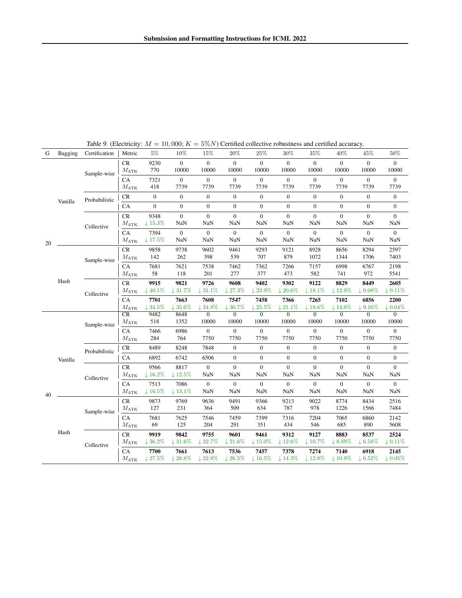<span id="page-16-0"></span>

| G  | <b>Bagging</b> | Certification | Metric                          | $5\%$                        | 10%                            | 15%                         | $20\%$                         | $25\%$                       | $30\%$                         | $35\%$                         | 40%                            | 45%                            | 50%                            |
|----|----------------|---------------|---------------------------------|------------------------------|--------------------------------|-----------------------------|--------------------------------|------------------------------|--------------------------------|--------------------------------|--------------------------------|--------------------------------|--------------------------------|
|    |                | Sample-wise   | <b>CR</b><br>$M_{\rm ATK}$      | 9230<br>770                  | $\overline{0}$<br>10000        | $\overline{0}$<br>10000     | $\mathbf{0}$<br>10000          | $\overline{0}$<br>10000      | $\overline{0}$<br>10000        | $\mathbf{0}$<br>10000          | $\overline{0}$<br>10000        | $\overline{0}$<br>10000        | $\overline{0}$<br>10000        |
|    |                |               | CA<br>$M_{\rm ATK}$             | 7321<br>418                  | $\boldsymbol{0}$<br>7739       | $\mathbf{0}$<br>7739        | $\boldsymbol{0}$<br>7739       | $\boldsymbol{0}$<br>7739     | $\boldsymbol{0}$<br>7739       | $\boldsymbol{0}$<br>7739       | $\boldsymbol{0}$<br>7739       | $\boldsymbol{0}$<br>7739       | $\mathbf{0}$<br>7739           |
|    | Vanilla        | Probabilistic | CR                              | $\boldsymbol{0}$             | $\boldsymbol{0}$               | $\mathbf{0}$                | $\boldsymbol{0}$               | $\boldsymbol{0}$             | $\boldsymbol{0}$               | $\boldsymbol{0}$               | $\boldsymbol{0}$               | $\boldsymbol{0}$               | $\boldsymbol{0}$               |
|    |                |               | CA                              | $\boldsymbol{0}$             | $\boldsymbol{0}$               | $\mathbf{0}$                | $\boldsymbol{0}$               | $\boldsymbol{0}$             | $\boldsymbol{0}$               | $\boldsymbol{0}$               | $\boldsymbol{0}$               | $\boldsymbol{0}$               | $\boldsymbol{0}$               |
|    |                | Collective    | CR<br>$M_{\rm ATK}$             | 9348<br>$~\downarrow 15.3\%$ | $\boldsymbol{0}$<br>NaN        | $\overline{0}$<br>NaN       | $\boldsymbol{0}$<br><b>NaN</b> | $\overline{0}$<br>NaN        | $\boldsymbol{0}$<br>NaN        | $\overline{0}$<br><b>NaN</b>   | $\overline{0}$<br><b>NaN</b>   | $\boldsymbol{0}$<br>NaN        | $\boldsymbol{0}$<br>NaN        |
| 20 |                |               | CA<br>$M_{\rm ATK}$             | 7394<br>$~\downarrow$ 17.5%  | $\boldsymbol{0}$<br><b>NaN</b> | $\boldsymbol{0}$<br>NaN     | $\boldsymbol{0}$<br>NaN        | $\boldsymbol{0}$<br>NaN      | $\boldsymbol{0}$<br><b>NaN</b> | $\boldsymbol{0}$<br><b>NaN</b> | $\mathbf{0}$<br><b>NaN</b>     | $\boldsymbol{0}$<br><b>NaN</b> | $\boldsymbol{0}$<br><b>NaN</b> |
|    |                | Sample-wise   | CR<br>$M_{\rm ATK}$             | 9858<br>142                  | 9738<br>262                    | 9602<br>398                 | 9461<br>539                    | 9293<br>707                  | 9121<br>879                    | 8928<br>1072                   | 8656<br>1344                   | 8294<br>1706                   | 2597<br>7403                   |
|    |                |               | CA<br>$M_{\rm ATK}$             | 7681<br>58                   | 7621<br>118                    | 7538<br>201                 | 7462<br>277                    | 7362<br>377                  | 7266<br>473                    | 7157<br>582                    | 6998<br>741                    | 6767<br>972                    | 2198<br>5541                   |
|    | Hash           | Collective    | $\rm CR$<br>$M_{\rm ATK}$       | 9915<br>$~\downarrow 40.1\%$ | 9821<br>$~\downarrow$ 31.7%    | 9726<br>$~\downarrow$ 31.1% | 9608<br>$\downarrow$ 27.3%     | 9402<br>$\downarrow 23.9\%$  | 9302<br>$~\downarrow 20.6\%$   | 9122<br>$\downarrow$ 18.1%     | 8829<br>$~\downarrow 12.9\%$   | 8449<br>$~\downarrow 9.08\%$   | 2605<br>$\downarrow$ 0.11%     |
|    |                |               | CA<br>$M_{\rm AT\underline{K}}$ | 7701<br>$\downarrow$ 34.5%   | 7663<br>135.6%                 | 7608<br>$134.8\%$           | 7547<br>$\downarrow$ 30.7%     | 7458<br>$\downarrow 25.5\%$  | 7366<br>$\downarrow 21.1\%$    | 7265<br>$~\downarrow 18.6\%$   | 7102<br>$\downarrow$ 14.0%     | 6856<br>$\downarrow$ 9.16%     | 2200<br>$\downarrow 0.04\%$    |
|    |                | Sample-wise   | CR<br>$M_{\rm ATK}$             | 9482<br>518                  | 8648<br>1352                   | $\overline{0}$<br>10000     | $\overline{0}$<br>10000        | $\overline{0}$<br>10000      | $\Omega$<br>10000              | $\overline{0}$<br>10000        | $\overline{0}$<br>10000        | $\overline{0}$<br>10000        | $\Omega$<br>10000              |
|    |                |               | CA<br>$M_{\rm ATK}$             | 7466<br>284                  | 6986<br>764                    | $\mathbf{0}$<br>7750        | $\boldsymbol{0}$<br>7750       | $\boldsymbol{0}$<br>7750     | $\boldsymbol{0}$<br>7750       | $\overline{0}$<br>7750         | $\boldsymbol{0}$<br>7750       | $\boldsymbol{0}$<br>7750       | $\boldsymbol{0}$<br>7750       |
|    |                | Probabilistic | CR                              | 8489                         | 8248                           | 7848                        | $\boldsymbol{0}$               | $\boldsymbol{0}$             | $\boldsymbol{0}$               | $\boldsymbol{0}$               | $\mathbf{0}$                   | $\boldsymbol{0}$               | $\boldsymbol{0}$               |
|    | Vanilla        |               | CA                              | 6892                         | 6742                           | 6506                        | $\mathbf{0}$                   | $\boldsymbol{0}$             | $\boldsymbol{0}$               | $\boldsymbol{0}$               | $\mathbf{0}$                   | $\boldsymbol{0}$               | $\boldsymbol{0}$               |
|    |                | Collective    | $\rm CR$<br>$M_{\rm ATK}$       | 9566<br>$~\downarrow 16.2\%$ | 8817<br>$~\downarrow 12.5\%$   | $\mathbf{0}$<br><b>NaN</b>  | $\mathbf{0}$<br>NaN            | $\overline{0}$<br><b>NaN</b> | $\overline{0}$<br>NaN          | $\overline{0}$<br>NaN          | $\overline{0}$<br>NaN          | $\mathbf{0}$<br>NaN            | $\overline{0}$<br><b>NaN</b>   |
| 40 |                |               | CA<br>$M_{\rm ATK}$             | 7513<br>$~\downarrow 16.5\%$ | 7086<br>$~\downarrow$ 13.1%    | $\mathbf{0}$<br><b>NaN</b>  | $\boldsymbol{0}$<br><b>NaN</b> | $\boldsymbol{0}$<br>NaN      | $\boldsymbol{0}$<br><b>NaN</b> | $\boldsymbol{0}$<br><b>NaN</b> | $\boldsymbol{0}$<br><b>NaN</b> | $\boldsymbol{0}$<br>NaN        | $\boldsymbol{0}$<br>NaN        |
|    |                | Sample-wise   | CR<br>$M_{\rm ATK}$             | 9873<br>127                  | 9769<br>231                    | 9636<br>364                 | 9491<br>509                    | 9366<br>634                  | 9213<br>787                    | 9022<br>978                    | 8774<br>1226                   | 8434<br>1566                   | 2516<br>7484                   |
|    |                |               | CA<br>$M_{\rm ATK}$             | 7681<br>69                   | 7625<br>125                    | 7546<br>204                 | 7459<br>291                    | 7399<br>351                  | 7316<br>434                    | 7204<br>546                    | 7065<br>685                    | 6860<br>890                    | 2142<br>5608                   |
|    | Hash           |               | $\rm CR$<br>$M_{\rm ATK}$       | 9919<br>$~136.2\%$           | 9842<br>$~131.6\%$             | 9755<br>$\downarrow$ 32.7%  | 9601<br>$\downarrow$ 21.6%     | 9461<br>$~\downarrow 15.0\%$ | 9312<br>$~\downarrow 12.6\%$   | 9127<br>$~\downarrow 10.7\%$   | 8883<br>$~18.89\%$             | 8537<br>$\downarrow 6.58\%$    | 2524<br>$\downarrow$ 0.11%     |
|    |                | Collective    | CA<br>$M_{\rm ATK}$             | 7700<br>$\downarrow$ 27.5%   | 7661<br>$~128.8\%$             | 7613<br>$~132.8\%$          | 7536<br>$\downarrow 26.5\%$    | 7457<br>$\downarrow$ 16.5%   | 7378<br>$\downarrow$ 14.3%     | 7274<br>$~\downarrow$ 12.8%    | 7140<br>$\downarrow$ 10.9%     | 6918<br>$\downarrow 6.52\%$    | 2145<br>$\downarrow 0.05\%$    |

Table 9. (Electricity:  $M = 10,000; K = 5\%N$ ) Certified collective robustness and certified accuracy.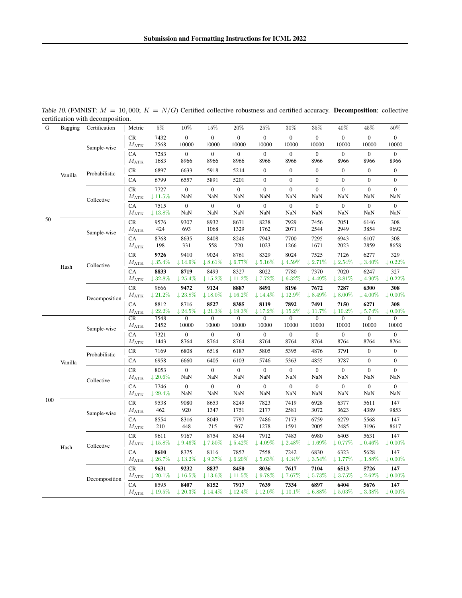| G   | Bagging | ceruncation with decomposition.<br>Certification | Metric                     | $5\%$                       | 10%                          | 15%                          | 20%                         | 25%                         | 30%                         | 35%                         | 40%                         | 45%                                   | 50%                        |
|-----|---------|--------------------------------------------------|----------------------------|-----------------------------|------------------------------|------------------------------|-----------------------------|-----------------------------|-----------------------------|-----------------------------|-----------------------------|---------------------------------------|----------------------------|
|     |         | Sample-wise                                      | <b>CR</b><br>$M_{\rm ATK}$ | 7432<br>2568                | $\overline{0}$<br>10000      | $\Omega$<br>10000            | $\overline{0}$<br>10000     | $\overline{0}$<br>10000     | $\overline{0}$<br>10000     | $\Omega$<br>10000           | $\overline{0}$<br>10000     | $\overline{0}$<br>10000               | $\Omega$<br>10000          |
|     |         |                                                  | CA<br>$M_{\rm ATK}$        | 7283<br>1683                | $\boldsymbol{0}$<br>8966     | $\mathbf{0}$<br>8966         | $\boldsymbol{0}$<br>8966    | $\boldsymbol{0}$<br>8966    | $\boldsymbol{0}$<br>8966    | $\boldsymbol{0}$<br>8966    | $\boldsymbol{0}$<br>8966    | $\boldsymbol{0}$<br>8966              | $\boldsymbol{0}$<br>8966   |
|     | Vanilla | Probabilistic                                    | CR                         | 6897                        | 6633                         | 5918                         | 5214                        | $\boldsymbol{0}$            | $\boldsymbol{0}$            | $\mathbf{0}$                | $\boldsymbol{0}$            | $\boldsymbol{0}$                      | $\boldsymbol{0}$           |
|     |         |                                                  | CA                         | 6799                        | 6557                         | 5891                         | 5201                        | $\mathbf{0}$                | $\overline{0}$              | $\overline{0}$              | $\overline{0}$              | $\mathbf{0}$                          | $\mathbf{0}$               |
|     |         | Collective                                       | CR<br>$M_{\rm ATK}$        | 7727<br>$\downarrow$ 11.5%  | $\boldsymbol{0}$<br>NaN      | $\mathbf{0}$<br>NaN          | $\overline{0}$<br>NaN       | $\overline{0}$<br>NaN       | $\overline{0}$<br>NaN       | $\overline{0}$<br>NaN       | $\boldsymbol{0}$<br>NaN     | $\overline{0}$<br>$\mbox{Na}\mbox{N}$ | $\overline{0}$<br>NaN      |
|     |         |                                                  | CA<br>$M_{\rm ATK}$        | 7515<br>$\downarrow$ 13.8%  | $\mathbf{0}$<br>NaN          | $\overline{0}$<br>NaN        | $\boldsymbol{0}$<br>NaN     | $\boldsymbol{0}$<br>NaN     | $\boldsymbol{0}$<br>NaN     | $\boldsymbol{0}$<br>NaN     | $\boldsymbol{0}$<br>NaN     | $\boldsymbol{0}$<br>NaN               | $\overline{0}$<br>NaN      |
| 50  |         | Sample-wise                                      | CR<br>$M_{\rm ATK}$        | 9576<br>424                 | 9307<br>693                  | 8932<br>1068                 | 8671<br>1329                | 8238<br>1762                | 7929<br>2071                | 7456<br>2544                | 7051<br>2949                | 6146<br>3854                          | 308<br>9692                |
|     |         |                                                  | CA<br>$M_{\rm ATK}$        | 8768<br>198                 | 8635<br>331                  | 8408<br>558                  | 8246<br>720                 | 7943<br>1023                | 7700<br>1266                | 7295<br>1671                | 6943<br>2023                | 6107<br>2859                          | 308<br>8658                |
|     |         | Collective                                       | CR<br>$M_{\rm ATK}$        | 9726<br>$\downarrow 35.4\%$ | 9410<br>$\downarrow$ 14.9%   | 9024<br>$~\downarrow 8.61\%$ | 8761<br>$\downarrow 6.77\%$ | 8329<br>$\downarrow 5.16\%$ | 8024<br>$\downarrow 4.59\%$ | 7525<br>$\downarrow$ 2.71%  | 7126<br>$\downarrow$ 2.54%  | 6277<br>$\downarrow$ 3.40%            | 329<br>$\downarrow 0.22\%$ |
|     | Hash    |                                                  | CA<br>$M_{\rm ATK}$        | 8833<br>132.8%              | 8719<br>$\downarrow$ 25.4%   | 8493<br>$\downarrow$ 15.2%   | 8327<br>$\downarrow$ 11.2%  | 8022<br>17.72%              | 7780<br>$\downarrow$ 6.32%  | 7370<br>14.49%              | 7020<br>$~13.81\%$          | 6247<br>$\downarrow$ 4.90%            | 327<br>$\downarrow 0.22\%$ |
|     |         | Decomposition                                    | CR<br>$M_{\rm ATK}$        | 9666<br>$\downarrow 21.2\%$ | 9472<br>$\downarrow$ 23.8%   | 9124<br>$\downarrow$ 18.0%   | 8887<br>$\downarrow 16.2\%$ | 8491<br>$\downarrow$ 14.4%  | 8196<br>$\downarrow$ 12.9%  | 7672<br>$\downarrow 8.49\%$ | 7287<br>$\downarrow$ 8.00%  | 6300<br>$\downarrow$ 4.00%            | 308<br>$\downarrow 0.00\%$ |
|     |         |                                                  | CA<br>$M_{\rm ATK}$        | 8812<br>122.2%              | 8716<br>$\downarrow$ 24.5%   | 8527<br>$\downarrow 21.3\%$  | 8385<br>$\downarrow 19.3\%$ | 8119<br>$\downarrow$ 17.2%  | 7892<br>$\downarrow 15.2\%$ | 7491<br>$\downarrow$ 11.7%  | 7150<br>$\downarrow$ 10.2%  | 6271<br>$\downarrow 5.74\%$           | 308<br>$\downarrow 0.00\%$ |
|     |         |                                                  | CR<br>$M_{\rm ATK}$        | 7548<br>2452                | $\overline{0}$<br>10000      | $\overline{0}$<br>10000      | $\overline{0}$<br>10000     | $\overline{0}$<br>10000     | $\overline{0}$<br>10000     | $\overline{0}$<br>10000     | $\overline{0}$<br>10000     | $\overline{0}$<br>10000               | $\overline{0}$<br>10000    |
|     |         | Sample-wise                                      | CA<br>$M_{\rm ATK}$        | 7321<br>1443                | $\boldsymbol{0}$<br>8764     | $\mathbf{0}$<br>8764         | $\boldsymbol{0}$<br>8764    | $\boldsymbol{0}$<br>8764    | $\overline{0}$<br>8764      | $\boldsymbol{0}$<br>8764    | $\boldsymbol{0}$<br>8764    | $\boldsymbol{0}$<br>8764              | $\boldsymbol{0}$<br>8764   |
|     |         | Probabilistic                                    | CR                         | 7169                        | 6808                         | 6518                         | 6187                        | 5805                        | 5395                        | 4876                        | 3791                        | $\overline{0}$                        | $\boldsymbol{0}$           |
|     | Vanilla |                                                  | CA                         | 6958                        | 6660                         | 6405                         | 6103                        | 5746                        | 5363                        | 4855                        | 3787                        | $\overline{0}$                        | $\overline{0}$             |
|     |         | Collective                                       | CR<br>$M_{\rm ATK}$        | 8053<br>$\downarrow 20.6\%$ | $\mathbf{0}$<br>NaN          | $\overline{0}$<br>NaN        | $\overline{0}$<br>NaN       | $\overline{0}$<br>NaN       | $\overline{0}$<br>NaN       | $\overline{0}$<br>NaN       | $\overline{0}$<br>NaN       | $\overline{0}$<br>NaN                 | $\mathbf{0}$<br>NaN        |
|     |         |                                                  | CA                         | 7746                        | $\boldsymbol{0}$             | $\mathbf{0}$                 | $\boldsymbol{0}$            | $\boldsymbol{0}$            | $\mathbf{0}$                | $\boldsymbol{0}$            | $\boldsymbol{0}$            | $\boldsymbol{0}$                      | $\boldsymbol{0}$           |
| 100 |         |                                                  | $M_{\rm ATK}$              | $\downarrow 29.4\%$         | NaN                          | NaN                          | NaN                         | NaN                         | NaN                         | NaN                         | NaN                         | NaN                                   | NaN                        |
|     |         |                                                  | CR<br>$M_{\rm ATK}$        | 9538<br>462                 | 9080<br>920                  | 8653<br>1347                 | 8249<br>1751                | 7823<br>2177                | 7419<br>2581                | 6928<br>3072                | 6377<br>3623                | 5611<br>4389                          | 147<br>9853                |
|     |         | Sample-wise                                      | CA<br>$M_{\rm ATK}$        | 8554<br>210                 | 8316<br>448                  | 8049<br>715                  | 7797<br>967                 | 7486<br>1278                | 7173<br>1591                | 6759<br>2005                | 6279<br>2485                | 5568<br>3196                          | 147<br>8617                |
|     |         |                                                  | CR                         | 9611                        | 9167                         | 8754                         | 8344                        | 7912                        | 7483                        | 6980                        | 6405                        | 5631                                  | 147                        |
|     | Hash    | Collective                                       | $M_{\rm ATK}$              | $\downarrow 15.8\%$         | $\downarrow 9.46\%$          | $\downarrow$ 7.50%           | $\downarrow 5.42\%$         | $\downarrow 4.09\%$         | $\downarrow 2.48\%$         | $\downarrow 1.69\%$         | $\downarrow 0.77\%$         | $\downarrow 0.46\%$                   | $\downarrow 0.00\%$        |
|     |         |                                                  | CA                         | 8610                        | 8375                         | 8116                         | 7857                        | 7558                        | 7242                        | 6830                        | 6323                        | 5628                                  | 147                        |
|     |         |                                                  | $M_{\rm ATK}$<br>CR        | $\downarrow$ 26.7%<br>9631  | $~\downarrow 13.2\%$<br>9232 | $\downarrow 9.37\%$<br>8837  | $\downarrow 6.20\%$<br>8450 | $\downarrow 5.63\%$<br>8036 | $\downarrow$ 4.34%<br>7617  | $\downarrow$ 3.54%<br>7104  | $\downarrow$ 1.77%<br>6513  | $\downarrow$ 1.88%<br>5726            | $\downarrow 0.00\%$<br>147 |
|     |         |                                                  | $M_{\rm ATK}$              | $\downarrow 20.1\%$         | $\downarrow$ 16.5%           | $\downarrow$ 13.6%           | $\downarrow$ 11.5%          | $+9.78\%$                   | $\downarrow$ 7.67%          | $\downarrow$ 5.73%          | $\downarrow$ 3.75%          | $\downarrow 2.62\%$                   | $\downarrow 0.00\%$        |
|     |         | Decomposition                                    | CA<br>$M_{\rm ATK}$        | 8595<br>$\downarrow$ 19.5%  | 8407<br>$\downarrow 20.3\%$  | 8152<br>$\downarrow$ 14.4%   | 7917<br>$\downarrow$ 12.4%  | 7639<br>$\downarrow$ 12.0%  | 7334<br>$\downarrow$ 10.1%  | 6897<br>$\downarrow 6.88\%$ | 6404<br>$\downarrow 5.03\%$ | 5676<br>$\downarrow$ 3.38%            | 147<br>$\downarrow 0.00\%$ |

<span id="page-17-0"></span>Table 10. (FMNIST:  $M = 10,000$ ;  $K = N/G$ ) Certified collective robustness and certified accuracy. **Decomposition**: collective certification with decomposition.